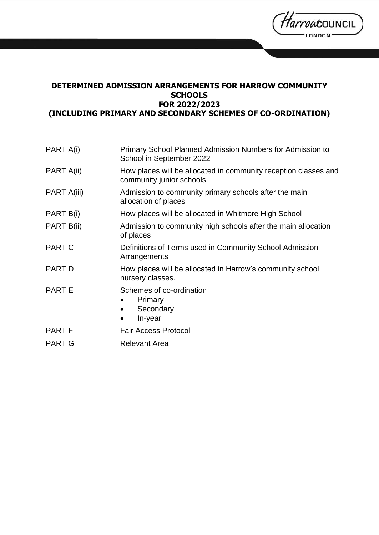*Tarrou*council LONDON

# **DETERMINED ADMISSION ARRANGEMENTS FOR HARROW COMMUNITY SCHOOLS FOR 2022/2023 (INCLUDING PRIMARY AND SECONDARY SCHEMES OF CO-ORDINATION)**

| PART A(i)     | <b>Primary School Planned Admission Numbers for Admission to</b><br>School in September 2022 |
|---------------|----------------------------------------------------------------------------------------------|
| PART A(ii)    | How places will be allocated in community reception classes and<br>community junior schools  |
| PART A(iii)   | Admission to community primary schools after the main<br>allocation of places                |
| PART B(i)     | How places will be allocated in Whitmore High School                                         |
| PART B(ii)    | Admission to community high schools after the main allocation<br>of places                   |
| <b>PART C</b> | Definitions of Terms used in Community School Admission<br>Arrangements                      |
| <b>PART D</b> | How places will be allocated in Harrow's community school<br>nursery classes.                |
| <b>PARTE</b>  | Schemes of co-ordination<br>Primary<br>Secondary<br>$\bullet$<br>In-year                     |
| <b>PART F</b> | <b>Fair Access Protocol</b>                                                                  |
| <b>PART G</b> | <b>Relevant Area</b>                                                                         |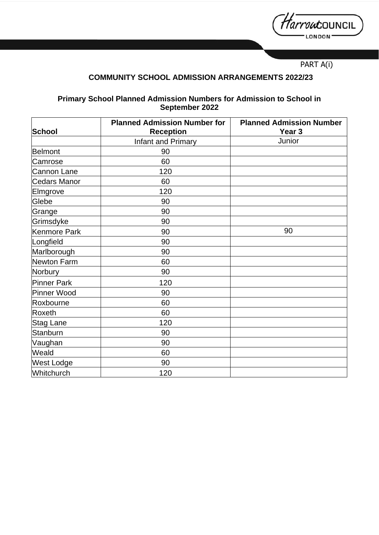*Harrou*council LONDON

PART A(i)

# **COMMUNITY SCHOOL ADMISSION ARRANGEMENTS 2022/23**

## **Primary School Planned Admission Numbers for Admission to School in September 2022**

| School              | <b>Planned Admission Number for</b><br><b>Reception</b> | <b>Planned Admission Number</b><br>Year <sub>3</sub> |
|---------------------|---------------------------------------------------------|------------------------------------------------------|
|                     | Infant and Primary                                      | Junior                                               |
| Belmont             | 90                                                      |                                                      |
| Camrose             | 60                                                      |                                                      |
| Cannon Lane         | 120                                                     |                                                      |
| <b>Cedars Manor</b> | 60                                                      |                                                      |
| Elmgrove            | 120                                                     |                                                      |
| Glebe               | 90                                                      |                                                      |
| Grange              | 90                                                      |                                                      |
| Grimsdyke           | 90                                                      |                                                      |
| Kenmore Park        | 90                                                      | 90                                                   |
| Longfield           | 90                                                      |                                                      |
| Marlborough         | 90                                                      |                                                      |
| Newton Farm         | 60                                                      |                                                      |
| Norbury             | 90                                                      |                                                      |
| <b>Pinner Park</b>  | 120                                                     |                                                      |
| Pinner Wood         | 90                                                      |                                                      |
| Roxbourne           | 60                                                      |                                                      |
| Roxeth              | 60                                                      |                                                      |
| <b>Stag Lane</b>    | 120                                                     |                                                      |
| Stanburn            | 90                                                      |                                                      |
| Vaughan             | 90                                                      |                                                      |
| Weald               | 60                                                      |                                                      |
| West Lodge          | 90                                                      |                                                      |
| Whitchurch          | 120                                                     |                                                      |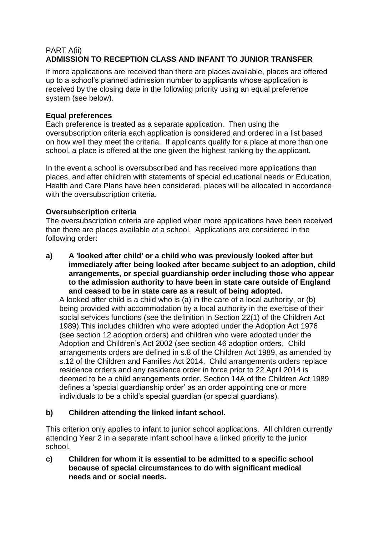## PART A(ii) **ADMISSION TO RECEPTION CLASS AND INFANT TO JUNIOR TRANSFER**

If more applications are received than there are places available, places are offered up to a school's planned admission number to applicants whose application is received by the closing date in the following priority using an equal preference system (see below).

## **Equal preferences**

Each preference is treated as a separate application. Then using the oversubscription criteria each application is considered and ordered in a list based on how well they meet the criteria. If applicants qualify for a place at more than one school, a place is offered at the one given the highest ranking by the applicant.

In the event a school is oversubscribed and has received more applications than places, and after children with statements of special educational needs or Education, Health and Care Plans have been considered, places will be allocated in accordance with the oversubscription criteria.

## **Oversubscription criteria**

The oversubscription criteria are applied when more applications have been received than there are places available at a school. Applications are considered in the following order:

**a) A 'looked after child' or a child who was previously looked after but immediately after being looked after became subject to an adoption, child arrangements, or special guardianship order including those who appear to the admission authority to have been in state care outside of England and ceased to be in state care as a result of being adopted.**

A looked after child is a child who is (a) in the care of a local authority, or (b) being provided with accommodation by a local authority in the exercise of their social services functions (see the definition in Section 22(1) of the Children Act 1989).This includes children who were adopted under the Adoption Act 1976 (see section 12 adoption orders) and children who were adopted under the Adoption and Children's Act 2002 (see section 46 adoption orders. Child arrangements orders are defined in s.8 of the Children Act 1989, as amended by s.12 of the Children and Families Act 2014. Child arrangements orders replace residence orders and any residence order in force prior to 22 April 2014 is deemed to be a child arrangements order. Section 14A of the Children Act 1989 defines a 'special guardianship order' as an order appointing one or more individuals to be a child's special guardian (or special guardians).

## **b) Children attending the linked infant school.**

This criterion only applies to infant to junior school applications. All children currently attending Year 2 in a separate infant school have a linked priority to the junior school.

**c) Children for whom it is essential to be admitted to a specific school because of special circumstances to do with significant medical needs and or social needs.**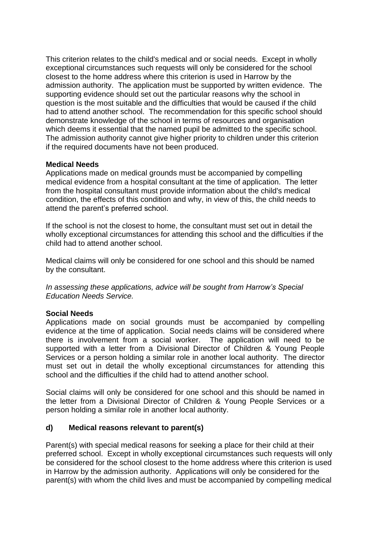This criterion relates to the child's medical and or social needs. Except in wholly exceptional circumstances such requests will only be considered for the school closest to the home address where this criterion is used in Harrow by the admission authority. The application must be supported by written evidence. The supporting evidence should set out the particular reasons why the school in question is the most suitable and the difficulties that would be caused if the child had to attend another school. The recommendation for this specific school should demonstrate knowledge of the school in terms of resources and organisation which deems it essential that the named pupil be admitted to the specific school. The admission authority cannot give higher priority to children under this criterion if the required documents have not been produced.

## **Medical Needs**

Applications made on medical grounds must be accompanied by compelling medical evidence from a hospital consultant at the time of application. The letter from the hospital consultant must provide information about the child's medical condition, the effects of this condition and why, in view of this, the child needs to attend the parent's preferred school.

If the school is not the closest to home, the consultant must set out in detail the wholly exceptional circumstances for attending this school and the difficulties if the child had to attend another school.

Medical claims will only be considered for one school and this should be named by the consultant.

*In assessing these applications, advice will be sought from Harrow's Special Education Needs Service.*

## **Social Needs**

Applications made on social grounds must be accompanied by compelling evidence at the time of application. Social needs claims will be considered where there is involvement from a social worker. The application will need to be supported with a letter from a Divisional Director of Children & Young People Services or a person holding a similar role in another local authority. The director must set out in detail the wholly exceptional circumstances for attending this school and the difficulties if the child had to attend another school.

Social claims will only be considered for one school and this should be named in the letter from a Divisional Director of Children & Young People Services or a person holding a similar role in another local authority.

## **d) Medical reasons relevant to parent(s)**

Parent(s) with special medical reasons for seeking a place for their child at their preferred school. Except in wholly exceptional circumstances such requests will only be considered for the school closest to the home address where this criterion is used in Harrow by the admission authority. Applications will only be considered for the parent(s) with whom the child lives and must be accompanied by compelling medical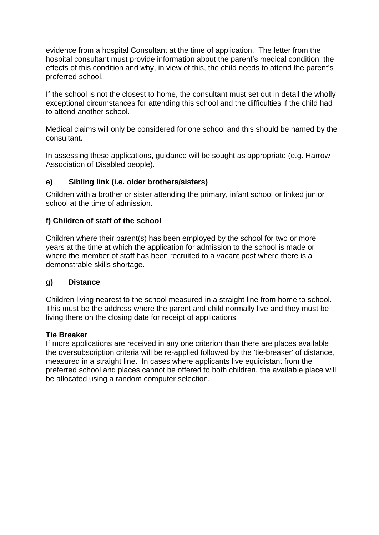evidence from a hospital Consultant at the time of application. The letter from the hospital consultant must provide information about the parent's medical condition, the effects of this condition and why, in view of this, the child needs to attend the parent's preferred school.

If the school is not the closest to home, the consultant must set out in detail the wholly exceptional circumstances for attending this school and the difficulties if the child had to attend another school.

Medical claims will only be considered for one school and this should be named by the consultant.

In assessing these applications, guidance will be sought as appropriate (e.g. Harrow Association of Disabled people).

## **e) Sibling link (i.e. older brothers/sisters)**

Children with a brother or sister attending the primary, infant school or linked junior school at the time of admission.

## **f) Children of staff of the school**

Children where their parent(s) has been employed by the school for two or more years at the time at which the application for admission to the school is made or where the member of staff has been recruited to a vacant post where there is a demonstrable skills shortage.

## **g) Distance**

Children living nearest to the school measured in a straight line from home to school. This must be the address where the parent and child normally live and they must be living there on the closing date for receipt of applications.

## **Tie Breaker**

If more applications are received in any one criterion than there are places available the oversubscription criteria will be re-applied followed by the 'tie-breaker' of distance, measured in a straight line. In cases where applicants live equidistant from the preferred school and places cannot be offered to both children, the available place will be allocated using a random computer selection.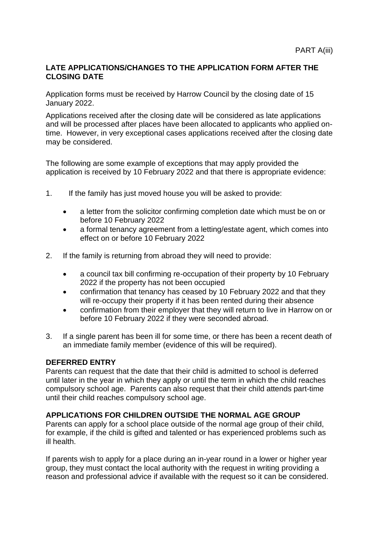## **LATE APPLICATIONS/CHANGES TO THE APPLICATION FORM AFTER THE CLOSING DATE**

Application forms must be received by Harrow Council by the closing date of 15 January 2022.

Applications received after the closing date will be considered as late applications and will be processed after places have been allocated to applicants who applied ontime. However, in very exceptional cases applications received after the closing date may be considered.

The following are some example of exceptions that may apply provided the application is received by 10 February 2022 and that there is appropriate evidence:

- 1. If the family has just moved house you will be asked to provide:
	- a letter from the solicitor confirming completion date which must be on or before 10 February 2022
	- a formal tenancy agreement from a letting/estate agent, which comes into effect on or before 10 February 2022
- 2. If the family is returning from abroad they will need to provide:
	- a council tax bill confirming re-occupation of their property by 10 February 2022 if the property has not been occupied
	- confirmation that tenancy has ceased by 10 February 2022 and that they will re-occupy their property if it has been rented during their absence
	- confirmation from their employer that they will return to live in Harrow on or before 10 February 2022 if they were seconded abroad.
- 3. If a single parent has been ill for some time, or there has been a recent death of an immediate family member (evidence of this will be required).

#### **DEFERRED ENTRY**

Parents can request that the date that their child is admitted to school is deferred until later in the year in which they apply or until the term in which the child reaches compulsory school age. Parents can also request that their child attends part-time until their child reaches compulsory school age.

## **APPLICATIONS FOR CHILDREN OUTSIDE THE NORMAL AGE GROUP**

Parents can apply for a school place outside of the normal age group of their child, for example, if the child is gifted and talented or has experienced problems such as ill health.

If parents wish to apply for a place during an in-year round in a lower or higher year group, they must contact the local authority with the request in writing providing a reason and professional advice if available with the request so it can be considered.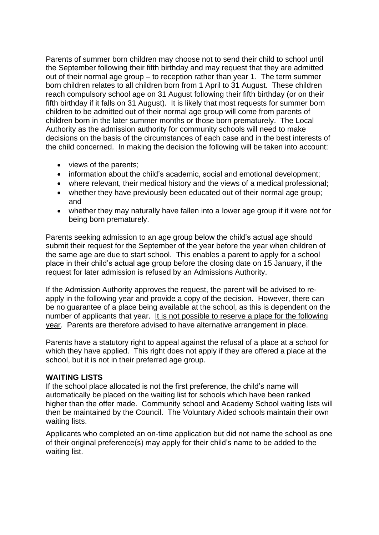Parents of summer born children may choose not to send their child to school until the September following their fifth birthday and may request that they are admitted out of their normal age group – to reception rather than year 1. The term summer born children relates to all children born from 1 April to 31 August. These children reach compulsory school age on 31 August following their fifth birthday (or on their fifth birthday if it falls on 31 August). It is likely that most requests for summer born children to be admitted out of their normal age group will come from parents of children born in the later summer months or those born prematurely. The Local Authority as the admission authority for community schools will need to make decisions on the basis of the circumstances of each case and in the best interests of the child concerned. In making the decision the following will be taken into account:

- views of the parents;
- information about the child's academic, social and emotional development;
- where relevant, their medical history and the views of a medical professional;
- whether they have previously been educated out of their normal age group; and
- whether they may naturally have fallen into a lower age group if it were not for being born prematurely.

Parents seeking admission to an age group below the child's actual age should submit their request for the September of the year before the year when children of the same age are due to start school. This enables a parent to apply for a school place in their child's actual age group before the closing date on 15 January, if the request for later admission is refused by an Admissions Authority.

If the Admission Authority approves the request, the parent will be advised to reapply in the following year and provide a copy of the decision. However, there can be no guarantee of a place being available at the school, as this is dependent on the number of applicants that year. It is not possible to reserve a place for the following year. Parents are therefore advised to have alternative arrangement in place.

Parents have a statutory right to appeal against the refusal of a place at a school for which they have applied. This right does not apply if they are offered a place at the school, but it is not in their preferred age group.

## **WAITING LISTS**

If the school place allocated is not the first preference, the child's name will automatically be placed on the waiting list for schools which have been ranked higher than the offer made. Community school and Academy School waiting lists will then be maintained by the Council. The Voluntary Aided schools maintain their own waiting lists.

Applicants who completed an on-time application but did not name the school as one of their original preference(s) may apply for their child's name to be added to the waiting list.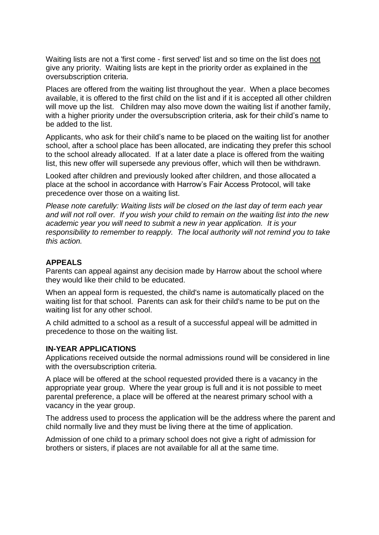Waiting lists are not a 'first come - first served' list and so time on the list does not give any priority. Waiting lists are kept in the priority order as explained in the oversubscription criteria.

Places are offered from the waiting list throughout the year. When a place becomes available, it is offered to the first child on the list and if it is accepted all other children will move up the list. Children may also move down the waiting list if another family, with a higher priority under the oversubscription criteria, ask for their child's name to be added to the list.

Applicants, who ask for their child's name to be placed on the waiting list for another school, after a school place has been allocated, are indicating they prefer this school to the school already allocated. If at a later date a place is offered from the waiting list, this new offer will supersede any previous offer, which will then be withdrawn.

Looked after children and previously looked after children, and those allocated a place at the school in accordance with Harrow's Fair Access Protocol, will take precedence over those on a waiting list.

*Please note carefully: Waiting lists will be closed on the last day of term each year and will not roll over. If you wish your child to remain on the waiting list into the new academic year you will need to submit a new in year application. It is your responsibility to remember to reapply. The local authority will not remind you to take this action.*

#### **APPEALS**

Parents can appeal against any decision made by Harrow about the school where they would like their child to be educated.

When an appeal form is requested, the child's name is automatically placed on the waiting list for that school. Parents can ask for their child's name to be put on the waiting list for any other school.

A child admitted to a school as a result of a successful appeal will be admitted in precedence to those on the waiting list.

#### **IN-YEAR APPLICATIONS**

Applications received outside the normal admissions round will be considered in line with the oversubscription criteria.

A place will be offered at the school requested provided there is a vacancy in the appropriate year group. Where the year group is full and it is not possible to meet parental preference, a place will be offered at the nearest primary school with a vacancy in the year group.

The address used to process the application will be the address where the parent and child normally live and they must be living there at the time of application.

Admission of one child to a primary school does not give a right of admission for brothers or sisters, if places are not available for all at the same time.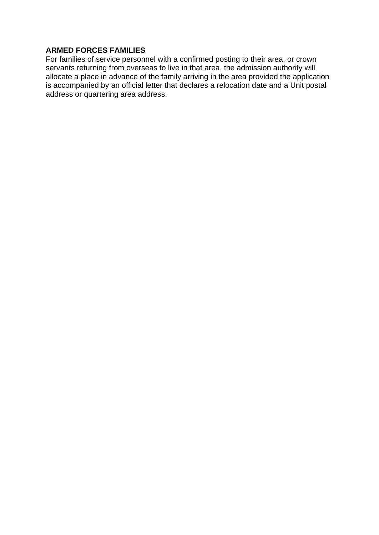## **ARMED FORCES FAMILIES**

For families of service personnel with a confirmed posting to their area, or crown servants returning from overseas to live in that area, the admission authority will allocate a place in advance of the family arriving in the area provided the application is accompanied by an official letter that declares a relocation date and a Unit postal address or quartering area address.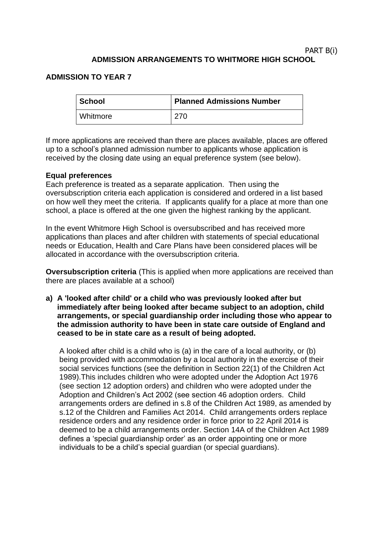#### PART B(i) **ADMISSION ARRANGEMENTS TO WHITMORE HIGH SCHOOL**

## **ADMISSION TO YEAR 7**

| ∣ School | <b>Planned Admissions Number</b> |
|----------|----------------------------------|
| Whitmore | 270                              |

If more applications are received than there are places available, places are offered up to a school's planned admission number to applicants whose application is received by the closing date using an equal preference system (see below).

## **Equal preferences**

Each preference is treated as a separate application. Then using the oversubscription criteria each application is considered and ordered in a list based on how well they meet the criteria. If applicants qualify for a place at more than one school, a place is offered at the one given the highest ranking by the applicant.

In the event Whitmore High School is oversubscribed and has received more applications than places and after children with statements of special educational needs or Education, Health and Care Plans have been considered places will be allocated in accordance with the oversubscription criteria.

**Oversubscription criteria** (This is applied when more applications are received than there are places available at a school)

**a) A 'looked after child' or a child who was previously looked after but immediately after being looked after became subject to an adoption, child arrangements, or special guardianship order including those who appear to the admission authority to have been in state care outside of England and ceased to be in state care as a result of being adopted.**

A looked after child is a child who is (a) in the care of a local authority, or (b) being provided with accommodation by a local authority in the exercise of their social services functions (see the definition in Section 22(1) of the Children Act 1989).This includes children who were adopted under the Adoption Act 1976 (see section 12 adoption orders) and children who were adopted under the Adoption and Children's Act 2002 (see section 46 adoption orders. Child arrangements orders are defined in s.8 of the Children Act 1989, as amended by s.12 of the Children and Families Act 2014. Child arrangements orders replace residence orders and any residence order in force prior to 22 April 2014 is deemed to be a child arrangements order. Section 14A of the Children Act 1989 defines a 'special guardianship order' as an order appointing one or more individuals to be a child's special guardian (or special guardians).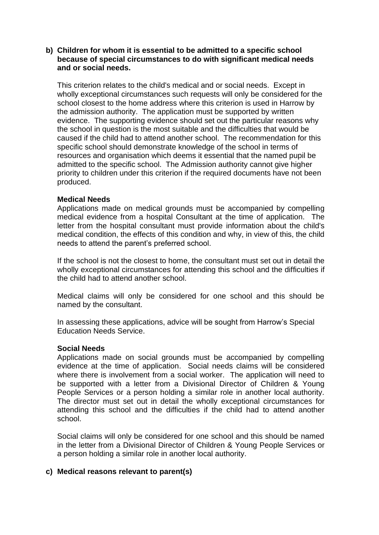#### **b) Children for whom it is essential to be admitted to a specific school because of special circumstances to do with significant medical needs and or social needs.**

This criterion relates to the child's medical and or social needs. Except in wholly exceptional circumstances such requests will only be considered for the school closest to the home address where this criterion is used in Harrow by the admission authority. The application must be supported by written evidence. The supporting evidence should set out the particular reasons why the school in question is the most suitable and the difficulties that would be caused if the child had to attend another school. The recommendation for this specific school should demonstrate knowledge of the school in terms of resources and organisation which deems it essential that the named pupil be admitted to the specific school. The Admission authority cannot give higher priority to children under this criterion if the required documents have not been produced.

## **Medical Needs**

Applications made on medical grounds must be accompanied by compelling medical evidence from a hospital Consultant at the time of application. The letter from the hospital consultant must provide information about the child's medical condition, the effects of this condition and why, in view of this, the child needs to attend the parent's preferred school.

If the school is not the closest to home, the consultant must set out in detail the wholly exceptional circumstances for attending this school and the difficulties if the child had to attend another school.

Medical claims will only be considered for one school and this should be named by the consultant.

In assessing these applications, advice will be sought from Harrow's Special Education Needs Service.

#### **Social Needs**

Applications made on social grounds must be accompanied by compelling evidence at the time of application. Social needs claims will be considered where there is involvement from a social worker. The application will need to be supported with a letter from a Divisional Director of Children & Young People Services or a person holding a similar role in another local authority. The director must set out in detail the wholly exceptional circumstances for attending this school and the difficulties if the child had to attend another school.

Social claims will only be considered for one school and this should be named in the letter from a Divisional Director of Children & Young People Services or a person holding a similar role in another local authority.

#### **c) Medical reasons relevant to parent(s)**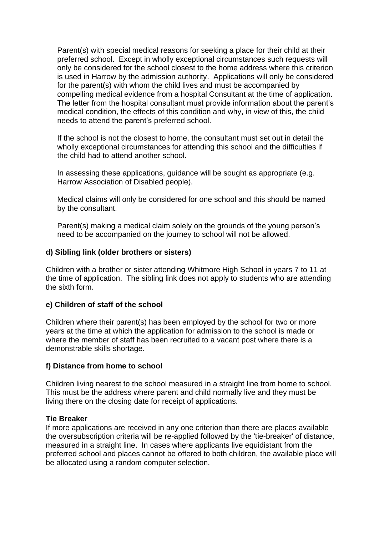Parent(s) with special medical reasons for seeking a place for their child at their preferred school. Except in wholly exceptional circumstances such requests will only be considered for the school closest to the home address where this criterion is used in Harrow by the admission authority. Applications will only be considered for the parent(s) with whom the child lives and must be accompanied by compelling medical evidence from a hospital Consultant at the time of application. The letter from the hospital consultant must provide information about the parent's medical condition, the effects of this condition and why, in view of this, the child needs to attend the parent's preferred school.

If the school is not the closest to home, the consultant must set out in detail the wholly exceptional circumstances for attending this school and the difficulties if the child had to attend another school.

In assessing these applications, guidance will be sought as appropriate (e.g. Harrow Association of Disabled people).

Medical claims will only be considered for one school and this should be named by the consultant.

Parent(s) making a medical claim solely on the grounds of the young person's need to be accompanied on the journey to school will not be allowed.

#### **d) Sibling link (older brothers or sisters)**

Children with a brother or sister attending Whitmore High School in years 7 to 11 at the time of application. The sibling link does not apply to students who are attending the sixth form.

#### **e) Children of staff of the school**

Children where their parent(s) has been employed by the school for two or more years at the time at which the application for admission to the school is made or where the member of staff has been recruited to a vacant post where there is a demonstrable skills shortage.

#### **f) Distance from home to school**

Children living nearest to the school measured in a straight line from home to school. This must be the address where parent and child normally live and they must be living there on the closing date for receipt of applications.

#### **Tie Breaker**

If more applications are received in any one criterion than there are places available the oversubscription criteria will be re-applied followed by the 'tie-breaker' of distance, measured in a straight line. In cases where applicants live equidistant from the preferred school and places cannot be offered to both children, the available place will be allocated using a random computer selection.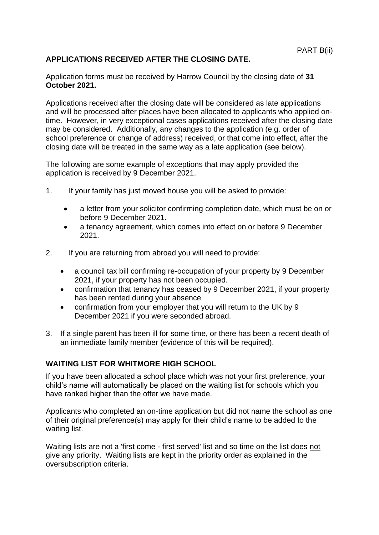## **APPLICATIONS RECEIVED AFTER THE CLOSING DATE.**

Application forms must be received by Harrow Council by the closing date of **31 October 2021.**

Applications received after the closing date will be considered as late applications and will be processed after places have been allocated to applicants who applied ontime. However, in very exceptional cases applications received after the closing date may be considered. Additionally, any changes to the application (e.g. order of school preference or change of address) received, or that come into effect, after the closing date will be treated in the same way as a late application (see below).

The following are some example of exceptions that may apply provided the application is received by 9 December 2021.

- 1. If your family has just moved house you will be asked to provide:
	- a letter from your solicitor confirming completion date, which must be on or before 9 December 2021.
	- a tenancy agreement, which comes into effect on or before 9 December 2021.
- 2. If you are returning from abroad you will need to provide:
	- a council tax bill confirming re-occupation of your property by 9 December 2021, if your property has not been occupied.
	- confirmation that tenancy has ceased by 9 December 2021, if your property has been rented during your absence
	- confirmation from your employer that you will return to the UK by 9 December 2021 if you were seconded abroad.
- 3. If a single parent has been ill for some time, or there has been a recent death of an immediate family member (evidence of this will be required).

## **WAITING LIST FOR WHITMORE HIGH SCHOOL**

If you have been allocated a school place which was not your first preference, your child's name will automatically be placed on the waiting list for schools which you have ranked higher than the offer we have made.

Applicants who completed an on-time application but did not name the school as one of their original preference(s) may apply for their child's name to be added to the waiting list.

Waiting lists are not a 'first come - first served' list and so time on the list does not give any priority. Waiting lists are kept in the priority order as explained in the oversubscription criteria.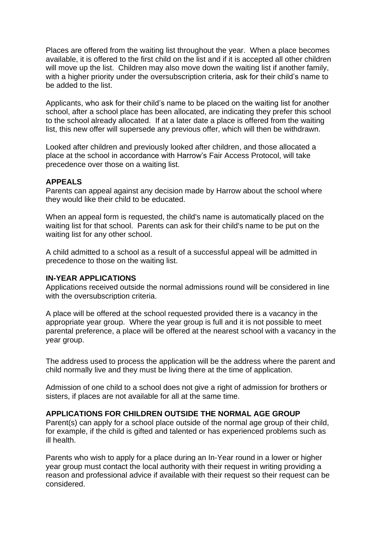Places are offered from the waiting list throughout the year. When a place becomes available, it is offered to the first child on the list and if it is accepted all other children will move up the list. Children may also move down the waiting list if another family, with a higher priority under the oversubscription criteria, ask for their child's name to be added to the list.

Applicants, who ask for their child's name to be placed on the waiting list for another school, after a school place has been allocated, are indicating they prefer this school to the school already allocated. If at a later date a place is offered from the waiting list, this new offer will supersede any previous offer, which will then be withdrawn.

Looked after children and previously looked after children, and those allocated a place at the school in accordance with Harrow's Fair Access Protocol, will take precedence over those on a waiting list.

#### **APPEALS**

Parents can appeal against any decision made by Harrow about the school where they would like their child to be educated.

When an appeal form is requested, the child's name is automatically placed on the waiting list for that school. Parents can ask for their child's name to be put on the waiting list for any other school.

A child admitted to a school as a result of a successful appeal will be admitted in precedence to those on the waiting list.

#### **IN-YEAR APPLICATIONS**

Applications received outside the normal admissions round will be considered in line with the oversubscription criteria.

A place will be offered at the school requested provided there is a vacancy in the appropriate year group. Where the year group is full and it is not possible to meet parental preference, a place will be offered at the nearest school with a vacancy in the year group.

The address used to process the application will be the address where the parent and child normally live and they must be living there at the time of application.

Admission of one child to a school does not give a right of admission for brothers or sisters, if places are not available for all at the same time.

#### **APPLICATIONS FOR CHILDREN OUTSIDE THE NORMAL AGE GROUP**

Parent(s) can apply for a school place outside of the normal age group of their child, for example, if the child is gifted and talented or has experienced problems such as ill health.

Parents who wish to apply for a place during an In-Year round in a lower or higher year group must contact the local authority with their request in writing providing a reason and professional advice if available with their request so their request can be considered.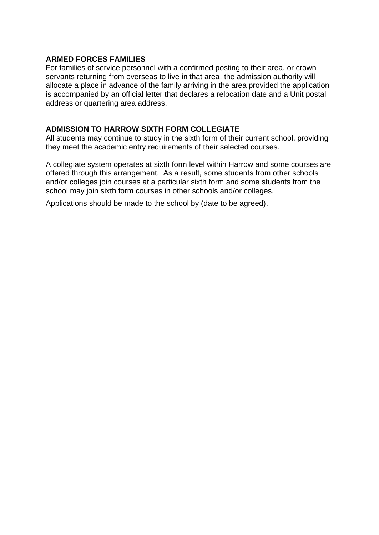## **ARMED FORCES FAMILIES**

For families of service personnel with a confirmed posting to their area, or crown servants returning from overseas to live in that area, the admission authority will allocate a place in advance of the family arriving in the area provided the application is accompanied by an official letter that declares a relocation date and a Unit postal address or quartering area address.

## **ADMISSION TO HARROW SIXTH FORM COLLEGIATE**

All students may continue to study in the sixth form of their current school, providing they meet the academic entry requirements of their selected courses.

A collegiate system operates at sixth form level within Harrow and some courses are offered through this arrangement. As a result, some students from other schools and/or colleges join courses at a particular sixth form and some students from the school may join sixth form courses in other schools and/or colleges.

Applications should be made to the school by (date to be agreed).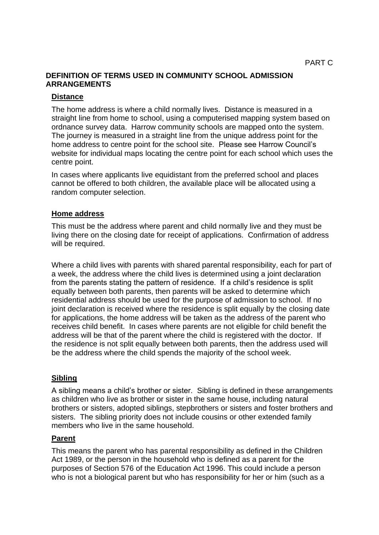## **DEFINITION OF TERMS USED IN COMMUNITY SCHOOL ADMISSION ARRANGEMENTS**

## **Distance**

The home address is where a child normally lives. Distance is measured in a straight line from home to school, using a computerised mapping system based on ordnance survey data. Harrow community schools are mapped onto the system. The journey is measured in a straight line from the unique address point for the home address to centre point for the school site. Please see Harrow Council's website for individual maps locating the centre point for each school which uses the centre point.

In cases where applicants live equidistant from the preferred school and places cannot be offered to both children, the available place will be allocated using a random computer selection.

## **Home address**

This must be the address where parent and child normally live and they must be living there on the closing date for receipt of applications. Confirmation of address will be required.

Where a child lives with parents with shared parental responsibility, each for part of a week, the address where the child lives is determined using a joint declaration from the parents stating the pattern of residence. If a child's residence is split equally between both parents, then parents will be asked to determine which residential address should be used for the purpose of admission to school. If no joint declaration is received where the residence is split equally by the closing date for applications, the home address will be taken as the address of the parent who receives child benefit. In cases where parents are not eligible for child benefit the address will be that of the parent where the child is registered with the doctor. If the residence is not split equally between both parents, then the address used will be the address where the child spends the majority of the school week.

## **Sibling**

A sibling means a child's brother or sister. Sibling is defined in these arrangements as children who live as brother or sister in the same house, including natural brothers or sisters, adopted siblings, stepbrothers or sisters and foster brothers and sisters. The sibling priority does not include cousins or other extended family members who live in the same household.

## **Parent**

This means the parent who has parental responsibility as defined in the Children Act 1989, or the person in the household who is defined as a parent for the purposes of Section 576 of the Education Act 1996. This could include a person who is not a biological parent but who has responsibility for her or him (such as a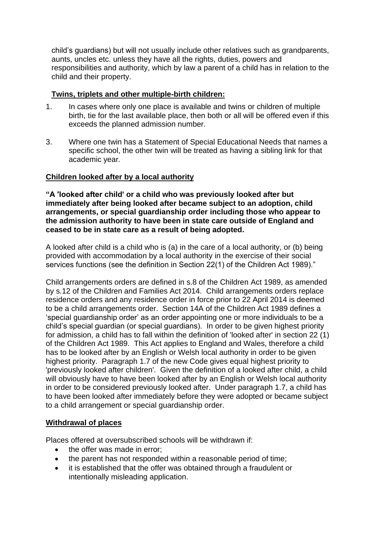child's guardians) but will not usually include other relatives such as grandparents, aunts, uncles etc. unless they have all the rights, duties, powers and responsibilities and authority, which by law a parent of a child has in relation to the child and their property.

## **Twins, triplets and other multiple-birth children:**

- 1. In cases where only one place is available and twins or children of multiple birth, tie for the last available place, then both or all will be offered even if this exceeds the planned admission number.
- 3. Where one twin has a Statement of Special Educational Needs that names a specific school, the other twin will be treated as having a sibling link for that academic year*.*

## **Children looked after by a local authority**

**"A 'looked after child' or a child who was previously looked after but immediately after being looked after became subject to an adoption, child arrangements, or special guardianship order including those who appear to the admission authority to have been in state care outside of England and ceased to be in state care as a result of being adopted.**

A looked after child is a child who is (a) in the care of a local authority, or (b) being provided with accommodation by a local authority in the exercise of their social services functions (see the definition in Section 22(1) of the Children Act 1989)."

Child arrangements orders are defined in s.8 of the Children Act 1989, as amended by s.12 of the Children and Families Act 2014. Child arrangements orders replace residence orders and any residence order in force prior to 22 April 2014 is deemed to be a child arrangements order. Section 14A of the Children Act 1989 defines a 'special guardianship order' as an order appointing one or more individuals to be a child's special guardian (or special guardians). In order to be given highest priority for admission, a child has to fall within the definition of 'looked after' in section 22 (1) of the Children Act 1989. This Act applies to England and Wales, therefore a child has to be looked after by an English or Welsh local authority in order to be given highest priority. Paragraph 1.7 of the new Code gives equal highest priority to 'previously looked after children'. Given the definition of a looked after child, a child will obviously have to have been looked after by an English or Welsh local authority in order to be considered previously looked after. Under paragraph 1.7, a child has to have been looked after immediately before they were adopted or became subject to a child arrangement or special guardianship order.

## **Withdrawal of places**

Places offered at oversubscribed schools will be withdrawn if:

- the offer was made in error:
- the parent has not responded within a reasonable period of time;
- it is established that the offer was obtained through a fraudulent or intentionally misleading application.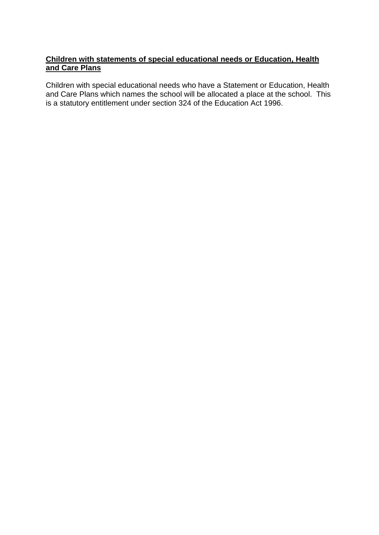## **Children with statements of special educational needs or Education, Health and Care Plans**

Children with special educational needs who have a Statement or Education, Health and Care Plans which names the school will be allocated a place at the school. This is a statutory entitlement under section 324 of the Education Act 1996.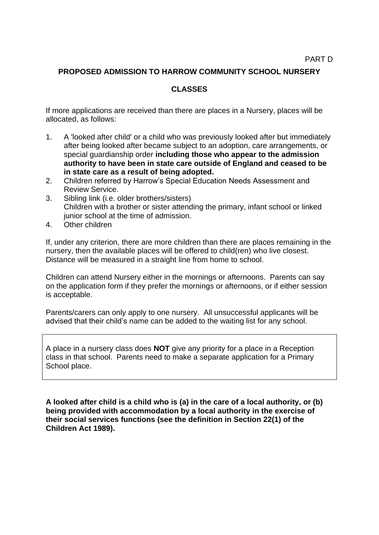## **PROPOSED ADMISSION TO HARROW COMMUNITY SCHOOL NURSERY**

## **CLASSES**

If more applications are received than there are places in a Nursery, places will be allocated, as follows:

- 1. A 'looked after child' or a child who was previously looked after but immediately after being looked after became subject to an adoption, care arrangements, or special guardianship order **including those who appear to the admission authority to have been in state care outside of England and ceased to be in state care as a result of being adopted.**
- 2. Children referred by Harrow's Special Education Needs Assessment and Review Service.
- 3. Sibling link (i.e. older brothers/sisters) Children with a brother or sister attending the primary, infant school or linked junior school at the time of admission.
- 4. Other children

If, under any criterion, there are more children than there are places remaining in the nursery, then the available places will be offered to child(ren) who live closest. Distance will be measured in a straight line from home to school.

Children can attend Nursery either in the mornings or afternoons. Parents can say on the application form if they prefer the mornings or afternoons, or if either session is acceptable.

Parents/carers can only apply to one nursery. All unsuccessful applicants will be advised that their child's name can be added to the waiting list for any school.

A place in a nursery class does **NOT** give any priority for a place in a Reception class in that school. Parents need to make a separate application for a Primary School place.

**A looked after child is a child who is (a) in the care of a local authority, or (b) being provided with accommodation by a local authority in the exercise of their social services functions (see the definition in Section 22(1) of the Children Act 1989).**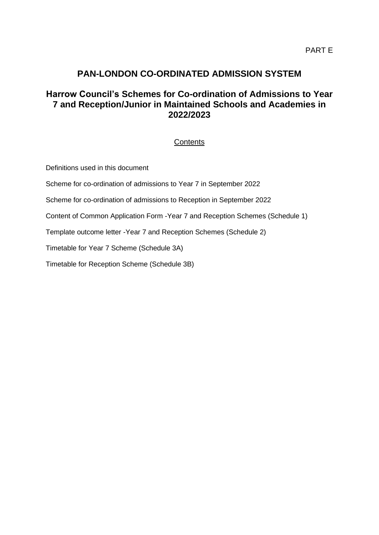# **PAN-LONDON CO-ORDINATED ADMISSION SYSTEM**

# **Harrow Council's Schemes for Co-ordination of Admissions to Year 7 and Reception/Junior in Maintained Schools and Academies in 2022/2023**

## **Contents**

Definitions used in this document

Scheme for co-ordination of admissions to Year 7 in September 2022

Scheme for co-ordination of admissions to Reception in September 2022

Content of Common Application Form -Year 7 and Reception Schemes (Schedule 1)

Template outcome letter -Year 7 and Reception Schemes (Schedule 2)

Timetable for Year 7 Scheme (Schedule 3A)

Timetable for Reception Scheme (Schedule 3B)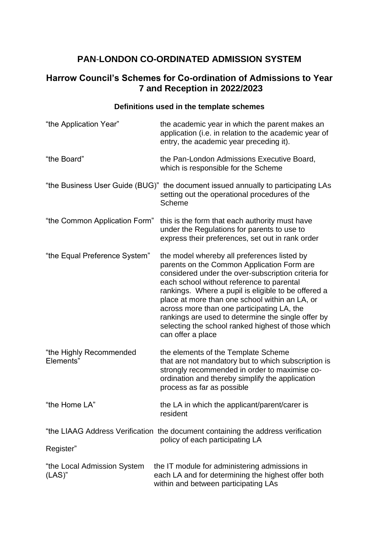# **PAN**-**LONDON CO-ORDINATED ADMISSION SYSTEM**

# **Harrow Council's Schemes for Co-ordination of Admissions to Year 7 and Reception in 2022/2023**

# **Definitions used in the template schemes**

| "the Application Year"                                                                                              | the academic year in which the parent makes an<br>application (i.e. in relation to the academic year of<br>entry, the academic year preceding it).                                                                                                                                                                                                                                                                                                                                    |  |
|---------------------------------------------------------------------------------------------------------------------|---------------------------------------------------------------------------------------------------------------------------------------------------------------------------------------------------------------------------------------------------------------------------------------------------------------------------------------------------------------------------------------------------------------------------------------------------------------------------------------|--|
| "the Board"                                                                                                         | the Pan-London Admissions Executive Board,<br>which is responsible for the Scheme                                                                                                                                                                                                                                                                                                                                                                                                     |  |
|                                                                                                                     | "the Business User Guide (BUG)" the document issued annually to participating LAs<br>setting out the operational procedures of the<br>Scheme                                                                                                                                                                                                                                                                                                                                          |  |
| "the Common Application Form"                                                                                       | this is the form that each authority must have<br>under the Regulations for parents to use to<br>express their preferences, set out in rank order                                                                                                                                                                                                                                                                                                                                     |  |
| "the Equal Preference System"                                                                                       | the model whereby all preferences listed by<br>parents on the Common Application Form are<br>considered under the over-subscription criteria for<br>each school without reference to parental<br>rankings. Where a pupil is eligible to be offered a<br>place at more than one school within an LA, or<br>across more than one participating LA, the<br>rankings are used to determine the single offer by<br>selecting the school ranked highest of those which<br>can offer a place |  |
| "the Highly Recommended<br>Elements"                                                                                | the elements of the Template Scheme<br>that are not mandatory but to which subscription is<br>strongly recommended in order to maximise co-<br>ordination and thereby simplify the application<br>process as far as possible                                                                                                                                                                                                                                                          |  |
| "the Home LA"                                                                                                       | the LA in which the applicant/parent/carer is<br>resident                                                                                                                                                                                                                                                                                                                                                                                                                             |  |
| "the LIAAG Address Verification the document containing the address verification<br>policy of each participating LA |                                                                                                                                                                                                                                                                                                                                                                                                                                                                                       |  |
| Register"                                                                                                           |                                                                                                                                                                                                                                                                                                                                                                                                                                                                                       |  |
| "the Local Admission System<br>$(LAS)$ "                                                                            | the IT module for administering admissions in<br>each LA and for determining the highest offer both<br>within and between participating LAs                                                                                                                                                                                                                                                                                                                                           |  |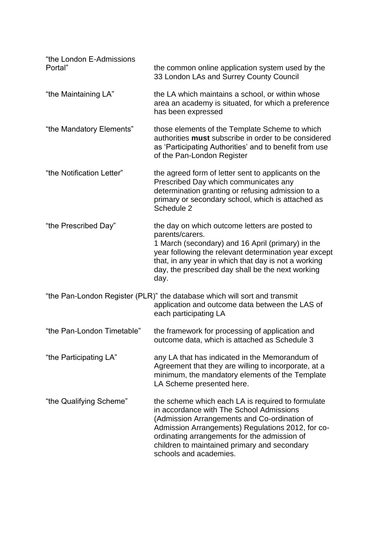| "the London E-Admissions<br>Portal" | the common online application system used by the<br>33 London LAs and Surrey County Council                                                                                                                                                                                                                                  |
|-------------------------------------|------------------------------------------------------------------------------------------------------------------------------------------------------------------------------------------------------------------------------------------------------------------------------------------------------------------------------|
| "the Maintaining LA"                | the LA which maintains a school, or within whose<br>area an academy is situated, for which a preference<br>has been expressed                                                                                                                                                                                                |
| "the Mandatory Elements"            | those elements of the Template Scheme to which<br>authorities must subscribe in order to be considered<br>as 'Participating Authorities' and to benefit from use<br>of the Pan-London Register                                                                                                                               |
| "the Notification Letter"           | the agreed form of letter sent to applicants on the<br>Prescribed Day which communicates any<br>determination granting or refusing admission to a<br>primary or secondary school, which is attached as<br>Schedule 2                                                                                                         |
| "the Prescribed Day"                | the day on which outcome letters are posted to<br>parents/carers.<br>1 March (secondary) and 16 April (primary) in the<br>year following the relevant determination year except<br>that, in any year in which that day is not a working<br>day, the prescribed day shall be the next working<br>day.                         |
|                                     | "the Pan-London Register (PLR)" the database which will sort and transmit<br>application and outcome data between the LAS of<br>each participating LA                                                                                                                                                                        |
| "the Pan-London Timetable"          | the framework for processing of application and<br>outcome data, which is attached as Schedule 3                                                                                                                                                                                                                             |
| "the Participating LA"              | any LA that has indicated in the Memorandum of<br>Agreement that they are willing to incorporate, at a<br>minimum, the mandatory elements of the Template<br>LA Scheme presented here.                                                                                                                                       |
| "the Qualifying Scheme"             | the scheme which each LA is required to formulate<br>in accordance with The School Admissions<br>(Admission Arrangements and Co-ordination of<br>Admission Arrangements) Regulations 2012, for co-<br>ordinating arrangements for the admission of<br>children to maintained primary and secondary<br>schools and academies. |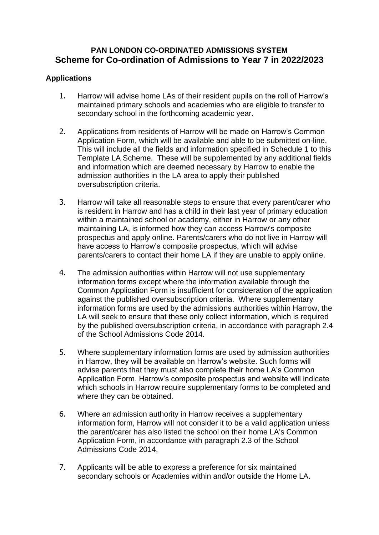# **PAN LONDON CO-ORDINATED ADMISSIONS SYSTEM Scheme for Co-ordination of Admissions to Year 7 in 2022/2023**

# **Applications**

- 1. Harrow will advise home LAs of their resident pupils on the roll of Harrow's maintained primary schools and academies who are eligible to transfer to secondary school in the forthcoming academic year.
- 2. Applications from residents of Harrow will be made on Harrow's Common Application Form, which will be available and able to be submitted on-line. This will include all the fields and information specified in Schedule 1 to this Template LA Scheme. These will be supplemented by any additional fields and information which are deemed necessary by Harrow to enable the admission authorities in the LA area to apply their published oversubscription criteria.
- 3. Harrow will take all reasonable steps to ensure that every parent/carer who is resident in Harrow and has a child in their last year of primary education within a maintained school or academy, either in Harrow or any other maintaining LA, is informed how they can access Harrow's composite prospectus and apply online. Parents/carers who do not live in Harrow will have access to Harrow's composite prospectus, which will advise parents/carers to contact their home LA if they are unable to apply online.
- 4. The admission authorities within Harrow will not use supplementary information forms except where the information available through the Common Application Form is insufficient for consideration of the application against the published oversubscription criteria. Where supplementary information forms are used by the admissions authorities within Harrow, the LA will seek to ensure that these only collect information, which is required by the published oversubscription criteria, in accordance with paragraph 2.4 of the School Admissions Code 2014.
- 5. Where supplementary information forms are used by admission authorities in Harrow, they will be available on Harrow's website. Such forms will advise parents that they must also complete their home LA's Common Application Form. Harrow's composite prospectus and website will indicate which schools in Harrow require supplementary forms to be completed and where they can be obtained.
- 6. Where an admission authority in Harrow receives a supplementary information form, Harrow will not consider it to be a valid application unless the parent/carer has also listed the school on their home LA's Common Application Form, in accordance with paragraph 2.3 of the School Admissions Code 2014.
- 7. Applicants will be able to express a preference for six maintained secondary schools or Academies within and/or outside the Home LA.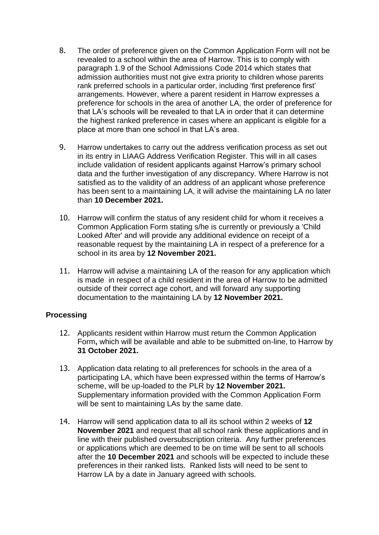- 8. The order of preference given on the Common Application Form will not be revealed to a school within the area of Harrow. This is to comply with paragraph 1.9 of the School Admissions Code 2014 which states that admission authorities must not give extra priority to children whose parents rank preferred schools in a particular order, including 'first preference first' arrangements. However, where a parent resident in Harrow expresses a preference for schools in the area of another LA, the order of preference for that LA's schools will be revealed to that LA in order that it can determine the highest ranked preference in cases where an applicant is eligible for a place at more than one school in that LA's area.
- 9. Harrow undertakes to carry out the address verification process as set out in its entry in LIAAG Address Verification Register. This will in all cases include validation of resident applicants against Harrow's primary school data and the further investigation of any discrepancy. Where Harrow is not satisfied as to the validity of an address of an applicant whose preference has been sent to a maintaining LA, it will advise the maintaining LA no later than **10 December 2021.**
- 10. Harrow will confirm the status of any resident child for whom it receives a Common Application Form stating s/he is currently or previously a 'Child Looked After' and will provide any additional evidence on receipt of a reasonable request by the maintaining LA in respect of a preference for a school in its area by **12 November 2021.**
- 11. Harrow will advise a maintaining LA of the reason for any application which is made in respect of a child resident in the area of Harrow to be admitted outside of their correct age cohort, and will forward any supporting documentation to the maintaining LA by **12 November 2021.**

## **Processing**

- 12. Applicants resident within Harrow must return the Common Application Form**,** which will be available and able to be submitted on-line, to Harrow by **31 October 2021.**
- 13. Application data relating to all preferences for schools in the area of a participating LA, which have been expressed within the terms of Harrow's scheme, will be up-loaded to the PLR by **12 November 2021.** Supplementary information provided with the Common Application Form will be sent to maintaining LAs by the same date.
- 14. Harrow will send application data to all its school within 2 weeks of **12 November 2021** and request that all school rank these applications and in line with their published oversubscription criteria. Any further preferences or applications which are deemed to be on time will be sent to all schools after the **10 December 2021** and schools will be expected to include these preferences in their ranked lists. Ranked lists will need to be sent to Harrow LA by a date in January agreed with schools.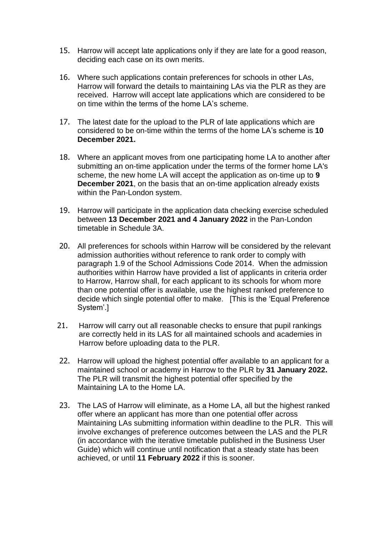- 15. Harrow will accept late applications only if they are late for a good reason, deciding each case on its own merits.
- 16. Where such applications contain preferences for schools in other LAs, Harrow will forward the details to maintaining LAs via the PLR as they are received. Harrow will accept late applications which are considered to be on time within the terms of the home LA's scheme.
- 17. The latest date for the upload to the PLR of late applications which are considered to be on-time within the terms of the home LA's scheme is **10 December 2021.**
- 18. Where an applicant moves from one participating home LA to another after submitting an on-time application under the terms of the former home LA's scheme, the new home LA will accept the application as on-time up to **9 December 2021**, on the basis that an on-time application already exists within the Pan-London system.
- 19. Harrow will participate in the application data checking exercise scheduled between **13 December 2021 and 4 January 2022** in the Pan-London timetable in Schedule 3A.
- 20. All preferences for schools within Harrow will be considered by the relevant admission authorities without reference to rank order to comply with paragraph 1.9 of the School Admissions Code 2014. When the admission authorities within Harrow have provided a list of applicants in criteria order to Harrow, Harrow shall, for each applicant to its schools for whom more than one potential offer is available, use the highest ranked preference to decide which single potential offer to make. [This is the 'Equal Preference System'.]
- 21. Harrow will carry out all reasonable checks to ensure that pupil rankings are correctly held in its LAS for all maintained schools and academies in Harrow before uploading data to the PLR.
- 22. Harrow will upload the highest potential offer available to an applicant for a maintained school or academy in Harrow to the PLR by **31 January 2022.** The PLR will transmit the highest potential offer specified by the Maintaining LA to the Home LA.
- 23. The LAS of Harrow will eliminate, as a Home LA, all but the highest ranked offer where an applicant has more than one potential offer across Maintaining LAs submitting information within deadline to the PLR. This will involve exchanges of preference outcomes between the LAS and the PLR (in accordance with the iterative timetable published in the Business User Guide) which will continue until notification that a steady state has been achieved, or until **11 February 2022** if this is sooner.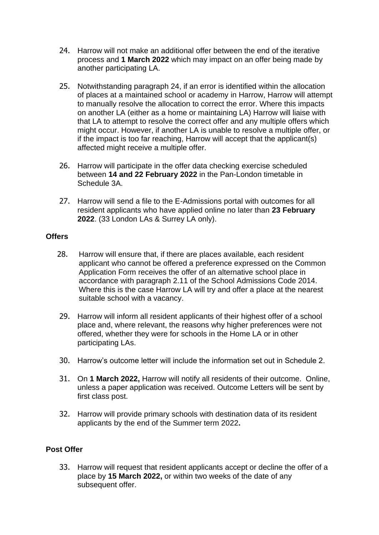- 24. Harrow will not make an additional offer between the end of the iterative process and **1 March 2022** which may impact on an offer being made by another participating LA.
- 25. Notwithstanding paragraph 24, if an error is identified within the allocation of places at a maintained school or academy in Harrow, Harrow will attempt to manually resolve the allocation to correct the error. Where this impacts on another LA (either as a home or maintaining LA) Harrow will liaise with that LA to attempt to resolve the correct offer and any multiple offers which might occur. However, if another LA is unable to resolve a multiple offer, or if the impact is too far reaching, Harrow will accept that the applicant(s) affected might receive a multiple offer.
- 26. Harrow will participate in the offer data checking exercise scheduled between **14 and 22 February 2022** in the Pan-London timetable in Schedule 3A.
- 27. Harrow will send a file to the E-Admissions portal with outcomes for all resident applicants who have applied online no later than **23 February 2022**. (33 London LAs & Surrey LA only).

## **Offers**

- 28. Harrow will ensure that, if there are places available, each resident applicant who cannot be offered a preference expressed on the Common Application Form receives the offer of an alternative school place in accordance with paragraph 2.11 of the School Admissions Code 2014. Where this is the case Harrow LA will try and offer a place at the nearest suitable school with a vacancy.
- 29. Harrow will inform all resident applicants of their highest offer of a school place and, where relevant, the reasons why higher preferences were not offered, whether they were for schools in the Home LA or in other participating LAs.
- 30. Harrow's outcome letter will include the information set out in Schedule 2.
- 31. On **1 March 2022,** Harrow will notify all residents of their outcome. Online, unless a paper application was received. Outcome Letters will be sent by first class post.
- 32. Harrow will provide primary schools with destination data of its resident applicants by the end of the Summer term 2022**.**

## **Post Offer**

33. Harrow will request that resident applicants accept or decline the offer of a place by **15 March 2022,** or within two weeks of the date of any subsequent offer.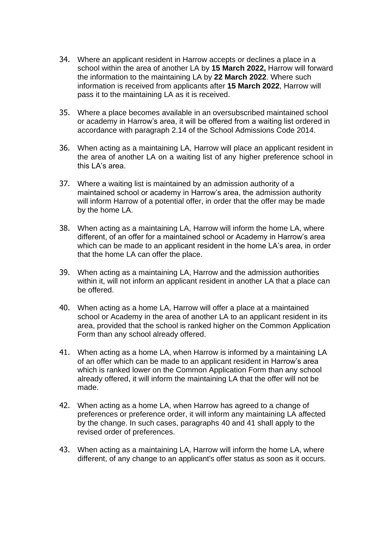- 34. Where an applicant resident in Harrow accepts or declines a place in a school within the area of another LA by **15 March 2022,** Harrow will forward the information to the maintaining LA by **22 March 2022**. Where such information is received from applicants after **15 March 2022**, Harrow will pass it to the maintaining LA as it is received.
- 35. Where a place becomes available in an oversubscribed maintained school or academy in Harrow's area, it will be offered from a waiting list ordered in accordance with paragraph 2.14 of the School Admissions Code 2014.
- 36. When acting as a maintaining LA, Harrow will place an applicant resident in the area of another LA on a waiting list of any higher preference school in this LA's area.
- 37. Where a waiting list is maintained by an admission authority of a maintained school or academy in Harrow's area, the admission authority will inform Harrow of a potential offer, in order that the offer may be made by the home LA.
- 38. When acting as a maintaining LA, Harrow will inform the home LA, where different, of an offer for a maintained school or Academy in Harrow's area which can be made to an applicant resident in the home LA's area, in order that the home LA can offer the place.
- 39. When acting as a maintaining LA, Harrow and the admission authorities within it, will not inform an applicant resident in another LA that a place can be offered.
- 40. When acting as a home LA, Harrow will offer a place at a maintained school or Academy in the area of another LA to an applicant resident in its area, provided that the school is ranked higher on the Common Application Form than any school already offered.
- 41. When acting as a home LA, when Harrow is informed by a maintaining LA of an offer which can be made to an applicant resident in Harrow's area which is ranked lower on the Common Application Form than any school already offered, it will inform the maintaining LA that the offer will not be made.
- 42. When acting as a home LA, when Harrow has agreed to a change of preferences or preference order, it will inform any maintaining LA affected by the change. In such cases, paragraphs 40 and 41 shall apply to the revised order of preferences.
- 43. When acting as a maintaining LA, Harrow will inform the home LA, where different, of any change to an applicant's offer status as soon as it occurs.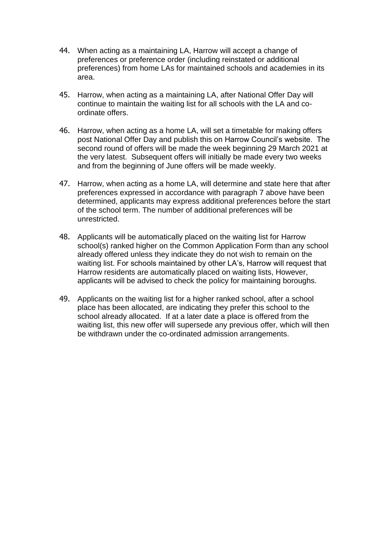- 44. When acting as a maintaining LA, Harrow will accept a change of preferences or preference order (including reinstated or additional preferences) from home LAs for maintained schools and academies in its area.
- 45. Harrow, when acting as a maintaining LA, after National Offer Day will continue to maintain the waiting list for all schools with the LA and coordinate offers.
- 46. Harrow, when acting as a home LA, will set a timetable for making offers post National Offer Day and publish this on Harrow Council's website. The second round of offers will be made the week beginning 29 March 2021 at the very latest. Subsequent offers will initially be made every two weeks and from the beginning of June offers will be made weekly.
- 47. Harrow, when acting as a home LA, will determine and state here that after preferences expressed in accordance with paragraph 7 above have been determined, applicants may express additional preferences before the start of the school term. The number of additional preferences will be unrestricted.
- 48. Applicants will be automatically placed on the waiting list for Harrow school(s) ranked higher on the Common Application Form than any school already offered unless they indicate they do not wish to remain on the waiting list. For schools maintained by other LA's, Harrow will request that Harrow residents are automatically placed on waiting lists, However, applicants will be advised to check the policy for maintaining boroughs.
- 49. Applicants on the waiting list for a higher ranked school, after a school place has been allocated, are indicating they prefer this school to the school already allocated. If at a later date a place is offered from the waiting list, this new offer will supersede any previous offer, which will then be withdrawn under the co-ordinated admission arrangements.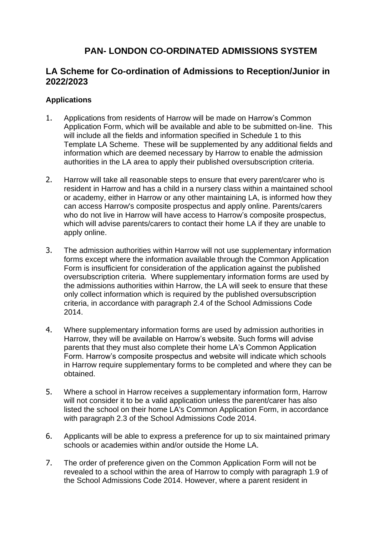# **PAN- LONDON CO-ORDINATED ADMISSIONS SYSTEM**

# **LA Scheme for Co-ordination of Admissions to Reception/Junior in 2022/2023**

# **Applications**

- 1. Applications from residents of Harrow will be made on Harrow's Common Application Form, which will be available and able to be submitted on-line. This will include all the fields and information specified in Schedule 1 to this Template LA Scheme. These will be supplemented by any additional fields and information which are deemed necessary by Harrow to enable the admission authorities in the LA area to apply their published oversubscription criteria.
- 2. Harrow will take all reasonable steps to ensure that every parent/carer who is resident in Harrow and has a child in a nursery class within a maintained school or academy, either in Harrow or any other maintaining LA, is informed how they can access Harrow's composite prospectus and apply online. Parents/carers who do not live in Harrow will have access to Harrow's composite prospectus, which will advise parents/carers to contact their home LA if they are unable to apply online.
- 3. The admission authorities within Harrow will not use supplementary information forms except where the information available through the Common Application Form is insufficient for consideration of the application against the published oversubscription criteria. Where supplementary information forms are used by the admissions authorities within Harrow, the LA will seek to ensure that these only collect information which is required by the published oversubscription criteria, in accordance with paragraph 2.4 of the School Admissions Code 2014.
- 4. Where supplementary information forms are used by admission authorities in Harrow, they will be available on Harrow's website. Such forms will advise parents that they must also complete their home LA's Common Application Form. Harrow's composite prospectus and website will indicate which schools in Harrow require supplementary forms to be completed and where they can be obtained.
- 5. Where a school in Harrow receives a supplementary information form, Harrow will not consider it to be a valid application unless the parent/carer has also listed the school on their home LA's Common Application Form, in accordance with paragraph 2.3 of the School Admissions Code 2014.
- 6. Applicants will be able to express a preference for up to six maintained primary schools or academies within and/or outside the Home LA.
- 7. The order of preference given on the Common Application Form will not be revealed to a school within the area of Harrow to comply with paragraph 1.9 of the School Admissions Code 2014. However, where a parent resident in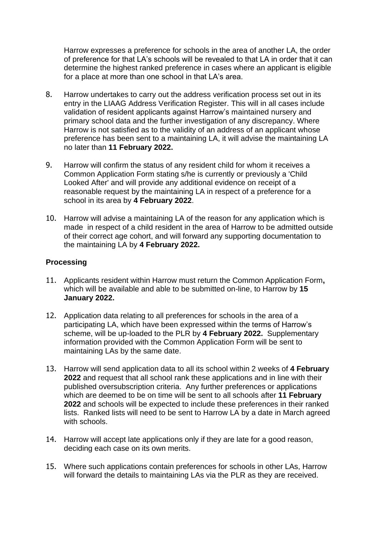Harrow expresses a preference for schools in the area of another LA, the order of preference for that LA's schools will be revealed to that LA in order that it can determine the highest ranked preference in cases where an applicant is eligible for a place at more than one school in that LA's area.

- 8. Harrow undertakes to carry out the address verification process set out in its entry in the LIAAG Address Verification Register. This will in all cases include validation of resident applicants against Harrow's maintained nursery and primary school data and the further investigation of any discrepancy. Where Harrow is not satisfied as to the validity of an address of an applicant whose preference has been sent to a maintaining LA, it will advise the maintaining LA no later than **11 February 2022.**
- 9. Harrow will confirm the status of any resident child for whom it receives a Common Application Form stating s/he is currently or previously a 'Child Looked After' and will provide any additional evidence on receipt of a reasonable request by the maintaining LA in respect of a preference for a school in its area by **4 February 2022**.
- 10. Harrow will advise a maintaining LA of the reason for any application which is made in respect of a child resident in the area of Harrow to be admitted outside of their correct age cohort, and will forward any supporting documentation to the maintaining LA by **4 February 2022.**

## **Processing**

- 11. Applicants resident within Harrow must return the Common Application Form**,**  which will be available and able to be submitted on-line, to Harrow by **15 January 2022.**
- 12. Application data relating to all preferences for schools in the area of a participating LA, which have been expressed within the terms of Harrow's scheme, will be up-loaded to the PLR by **4 February 2022.** Supplementary information provided with the Common Application Form will be sent to maintaining LAs by the same date.
- 13. Harrow will send application data to all its school within 2 weeks of **4 February 2022** and request that all school rank these applications and in line with their published oversubscription criteria. Any further preferences or applications which are deemed to be on time will be sent to all schools after **11 February 2022** and schools will be expected to include these preferences in their ranked lists. Ranked lists will need to be sent to Harrow LA by a date in March agreed with schools.
- 14. Harrow will accept late applications only if they are late for a good reason, deciding each case on its own merits.
- 15. Where such applications contain preferences for schools in other LAs, Harrow will forward the details to maintaining LAs via the PLR as they are received.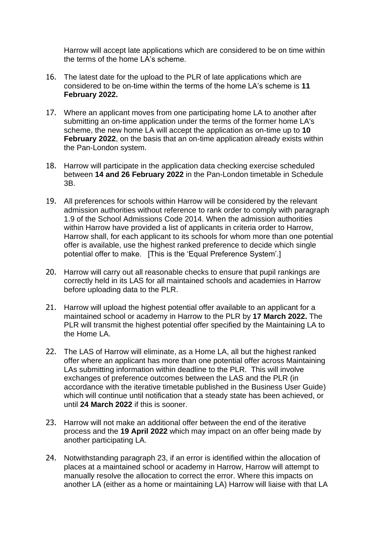Harrow will accept late applications which are considered to be on time within the terms of the home LA's scheme.

- 16. The latest date for the upload to the PLR of late applications which are considered to be on-time within the terms of the home LA's scheme is **11 February 2022.**
- 17. Where an applicant moves from one participating home LA to another after submitting an on-time application under the terms of the former home LA's scheme, the new home LA will accept the application as on-time up to **10 February 2022**, on the basis that an on-time application already exists within the Pan-London system.
- 18. Harrow will participate in the application data checking exercise scheduled between **14 and 26 February 2022** in the Pan-London timetable in Schedule 3B.
- 19. All preferences for schools within Harrow will be considered by the relevant admission authorities without reference to rank order to comply with paragraph 1.9 of the School Admissions Code 2014. When the admission authorities within Harrow have provided a list of applicants in criteria order to Harrow, Harrow shall, for each applicant to its schools for whom more than one potential offer is available, use the highest ranked preference to decide which single potential offer to make. [This is the 'Equal Preference System'.]
- 20. Harrow will carry out all reasonable checks to ensure that pupil rankings are correctly held in its LAS for all maintained schools and academies in Harrow before uploading data to the PLR.
- 21. Harrow will upload the highest potential offer available to an applicant for a maintained school or academy in Harrow to the PLR by **17 March 2022.** The PLR will transmit the highest potential offer specified by the Maintaining LA to the Home LA.
- 22. The LAS of Harrow will eliminate, as a Home LA, all but the highest ranked offer where an applicant has more than one potential offer across Maintaining LAs submitting information within deadline to the PLR. This will involve exchanges of preference outcomes between the LAS and the PLR (in accordance with the iterative timetable published in the Business User Guide) which will continue until notification that a steady state has been achieved, or until **24 March 2022** if this is sooner.
- 23. Harrow will not make an additional offer between the end of the iterative process and the **19 April 2022** which may impact on an offer being made by another participating LA.
- 24. Notwithstanding paragraph 23, if an error is identified within the allocation of places at a maintained school or academy in Harrow, Harrow will attempt to manually resolve the allocation to correct the error. Where this impacts on another LA (either as a home or maintaining LA) Harrow will liaise with that LA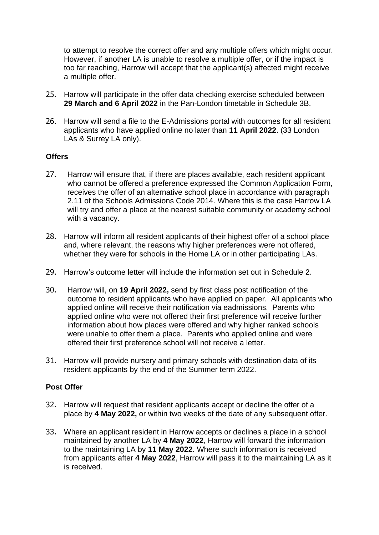to attempt to resolve the correct offer and any multiple offers which might occur. However, if another LA is unable to resolve a multiple offer, or if the impact is too far reaching, Harrow will accept that the applicant(s) affected might receive a multiple offer.

- 25. Harrow will participate in the offer data checking exercise scheduled between **29 March and 6 April 2022** in the Pan-London timetable in Schedule 3B.
- 26. Harrow will send a file to the E-Admissions portal with outcomes for all resident applicants who have applied online no later than **11 April 2022**. (33 London LAs & Surrey LA only).

## **Offers**

- 27. Harrow will ensure that, if there are places available, each resident applicant who cannot be offered a preference expressed the Common Application Form, receives the offer of an alternative school place in accordance with paragraph 2.11 of the Schools Admissions Code 2014. Where this is the case Harrow LA will try and offer a place at the nearest suitable community or academy school with a vacancy.
- 28. Harrow will inform all resident applicants of their highest offer of a school place and, where relevant, the reasons why higher preferences were not offered, whether they were for schools in the Home LA or in other participating LAs.
- 29. Harrow's outcome letter will include the information set out in Schedule 2.
- 30. Harrow will, on **19 April 2022,** send by first class post notification of the outcome to resident applicants who have applied on paper. All applicants who applied online will receive their notification via eadmissions. Parents who applied online who were not offered their first preference will receive further information about how places were offered and why higher ranked schools were unable to offer them a place. Parents who applied online and were offered their first preference school will not receive a letter.
- 31. Harrow will provide nursery and primary schools with destination data of its resident applicants by the end of the Summer term 2022.

## **Post Offer**

- 32. Harrow will request that resident applicants accept or decline the offer of a place by **4 May 2022,** or within two weeks of the date of any subsequent offer.
- 33. Where an applicant resident in Harrow accepts or declines a place in a school maintained by another LA by **4 May 2022**, Harrow will forward the information to the maintaining LA by **11 May 2022**. Where such information is received from applicants after **4 May 2022**, Harrow will pass it to the maintaining LA as it is received.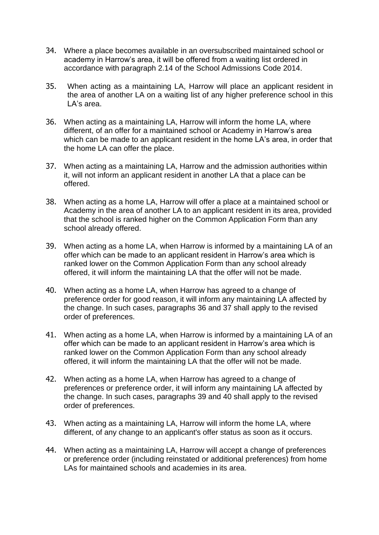- 34. Where a place becomes available in an oversubscribed maintained school or academy in Harrow's area, it will be offered from a waiting list ordered in accordance with paragraph 2.14 of the School Admissions Code 2014.
- 35. When acting as a maintaining LA, Harrow will place an applicant resident in the area of another LA on a waiting list of any higher preference school in this LA's area.
- 36. When acting as a maintaining LA, Harrow will inform the home LA, where different, of an offer for a maintained school or Academy in Harrow's area which can be made to an applicant resident in the home LA's area, in order that the home LA can offer the place.
- 37. When acting as a maintaining LA, Harrow and the admission authorities within it, will not inform an applicant resident in another LA that a place can be offered.
- 38. When acting as a home LA, Harrow will offer a place at a maintained school or Academy in the area of another LA to an applicant resident in its area, provided that the school is ranked higher on the Common Application Form than any school already offered.
- 39. When acting as a home LA, when Harrow is informed by a maintaining LA of an offer which can be made to an applicant resident in Harrow's area which is ranked lower on the Common Application Form than any school already offered, it will inform the maintaining LA that the offer will not be made.
- 40. When acting as a home LA, when Harrow has agreed to a change of preference order for good reason, it will inform any maintaining LA affected by the change. In such cases, paragraphs 36 and 37 shall apply to the revised order of preferences.
- 41. When acting as a home LA, when Harrow is informed by a maintaining LA of an offer which can be made to an applicant resident in Harrow's area which is ranked lower on the Common Application Form than any school already offered, it will inform the maintaining LA that the offer will not be made.
- 42. When acting as a home LA, when Harrow has agreed to a change of preferences or preference order, it will inform any maintaining LA affected by the change. In such cases, paragraphs 39 and 40 shall apply to the revised order of preferences.
- 43. When acting as a maintaining LA, Harrow will inform the home LA, where different, of any change to an applicant's offer status as soon as it occurs.
- 44. When acting as a maintaining LA, Harrow will accept a change of preferences or preference order (including reinstated or additional preferences) from home LAs for maintained schools and academies in its area.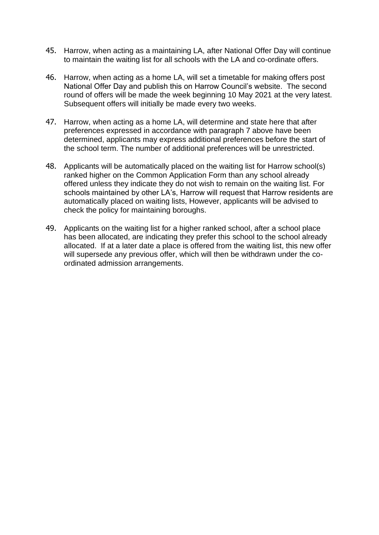- 45. Harrow, when acting as a maintaining LA, after National Offer Day will continue to maintain the waiting list for all schools with the LA and co-ordinate offers.
- 46. Harrow, when acting as a home LA, will set a timetable for making offers post National Offer Day and publish this on Harrow Council's website. The second round of offers will be made the week beginning 10 May 2021 at the very latest. Subsequent offers will initially be made every two weeks.
- 47. Harrow, when acting as a home LA, will determine and state here that after preferences expressed in accordance with paragraph 7 above have been determined, applicants may express additional preferences before the start of the school term. The number of additional preferences will be unrestricted.
- 48. Applicants will be automatically placed on the waiting list for Harrow school(s) ranked higher on the Common Application Form than any school already offered unless they indicate they do not wish to remain on the waiting list. For schools maintained by other LA's, Harrow will request that Harrow residents are automatically placed on waiting lists, However, applicants will be advised to check the policy for maintaining boroughs.
- 49. Applicants on the waiting list for a higher ranked school, after a school place has been allocated, are indicating they prefer this school to the school already allocated. If at a later date a place is offered from the waiting list, this new offer will supersede any previous offer, which will then be withdrawn under the coordinated admission arrangements.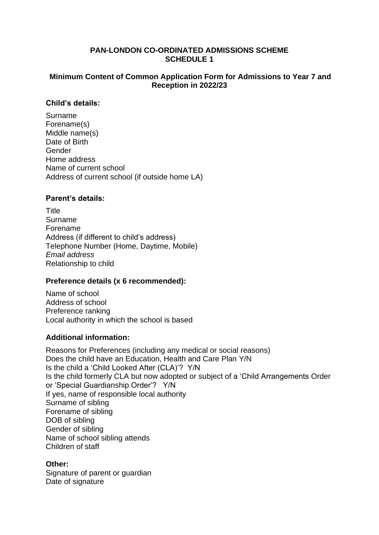## **PAN-LONDON CO-ORDINATED ADMISSIONS SCHEME SCHEDULE 1**

## **Minimum Content of Common Application Form for Admissions to Year 7 and Reception in 2022/23**

## **Child's details:**

Surname Forename(s) Middle name(s) Date of Birth Gender Home address Name of current school Address of current school (if outside home LA)

## **Parent's details:**

**Title** Surname Forename Address (if different to child's address) Telephone Number (Home, Daytime, Mobile) *Email address* Relationship to child

## **Preference details (x 6 recommended):**

Name of school Address of school Preference ranking Local authority in which the school is based

## **Additional information:**

Reasons for Preferences (including any medical or social reasons) Does the child have an Education, Health and Care Plan Y/N Is the child a 'Child Looked After (CLA)'? Y/N Is the child formerly CLA but now adopted or subject of a 'Child Arrangements Order or 'Special Guardianship Order'? Y/N If yes, name of responsible local authority Surname of sibling Forename of sibling DOB of sibling Gender of sibling Name of school sibling attends Children of staff

## **Other:**

Signature of parent or guardian Date of signature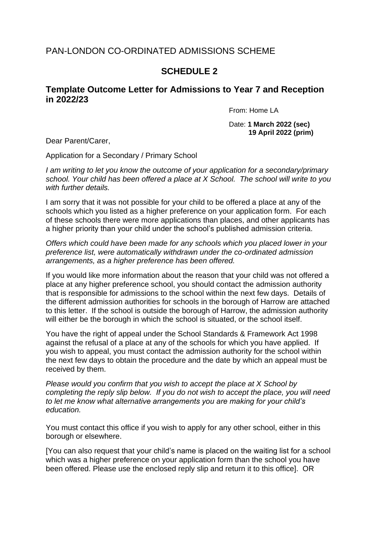# PAN-LONDON CO-ORDINATED ADMISSIONS SCHEME

# **SCHEDULE 2**

# **Template Outcome Letter for Admissions to Year 7 and Reception in 2022/23**

From: Home LA

Date: **1 March 2022 (sec) 19 April 2022 (prim)**

Dear Parent/Carer,

Application for a Secondary / Primary School

*I am writing to let you know the outcome of your application for a secondary/primary school. Your child has been offered a place at X School. The school will write to you with further details.*

I am sorry that it was not possible for your child to be offered a place at any of the schools which you listed as a higher preference on your application form. For each of these schools there were more applications than places, and other applicants has a higher priority than your child under the school's published admission criteria.

*Offers which could have been made for any schools which you placed lower in your preference list, were automatically withdrawn under the co-ordinated admission arrangements, as a higher preference has been offered.*

If you would like more information about the reason that your child was not offered a place at any higher preference school, you should contact the admission authority that is responsible for admissions to the school within the next few days. Details of the different admission authorities for schools in the borough of Harrow are attached to this letter. If the school is outside the borough of Harrow, the admission authority will either be the borough in which the school is situated, or the school itself.

You have the right of appeal under the School Standards & Framework Act 1998 against the refusal of a place at any of the schools for which you have applied. If you wish to appeal, you must contact the admission authority for the school within the next few days to obtain the procedure and the date by which an appeal must be received by them.

*Please would you confirm that you wish to accept the place at X School by completing the reply slip below. If you do not wish to accept the place, you will need to let me know what alternative arrangements you are making for your child's education.*

You must contact this office if you wish to apply for any other school, either in this borough or elsewhere.

[You can also request that your child's name is placed on the waiting list for a school which was a higher preference on your application form than the school you have been offered. Please use the enclosed reply slip and return it to this office]. OR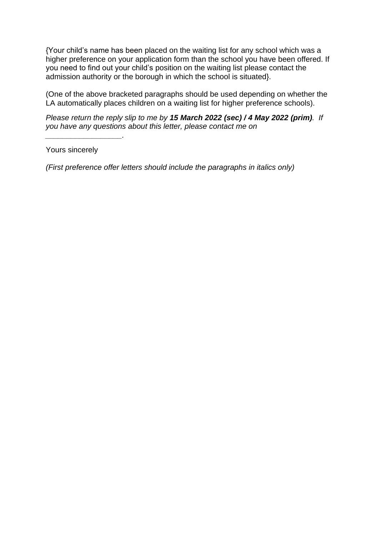{Your child's name has been placed on the waiting list for any school which was a higher preference on your application form than the school you have been offered. If you need to find out your child's position on the waiting list please contact the admission authority or the borough in which the school is situated}.

(One of the above bracketed paragraphs should be used depending on whether the LA automatically places children on a waiting list for higher preference schools).

*Please return the reply slip to me by 15 March 2022 (sec) / 4 May 2022 (prim). If you have any questions about this letter, please contact me on* 

Yours sincerely

*\_\_\_\_\_\_\_\_\_\_\_\_\_\_\_\_\_\_.*

*(First preference offer letters should include the paragraphs in italics only)*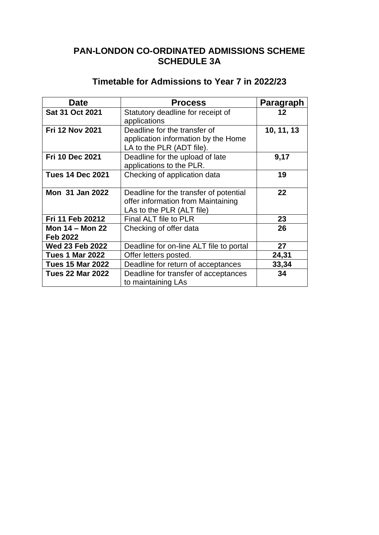# **PAN-LONDON CO-ORDINATED ADMISSIONS SCHEME SCHEDULE 3A**

# **Timetable for Admissions to Year 7 in 2022/23**

| <b>Date</b>             | <b>Process</b>                                             | Paragraph  |
|-------------------------|------------------------------------------------------------|------------|
| Sat 31 Oct 2021         | Statutory deadline for receipt of                          | 12         |
|                         | applications                                               |            |
| <b>Fri 12 Nov 2021</b>  | Deadline for the transfer of                               | 10, 11, 13 |
|                         | application information by the Home                        |            |
|                         | LA to the PLR (ADT file).                                  |            |
| <b>Fri 10 Dec 2021</b>  | Deadline for the upload of late                            | 9,17       |
|                         | applications to the PLR.                                   |            |
| <b>Tues 14 Dec 2021</b> | Checking of application data                               | 19         |
|                         |                                                            |            |
| Mon 31 Jan 2022         | Deadline for the transfer of potential                     | 22         |
|                         | offer information from Maintaining                         |            |
|                         | LAs to the PLR (ALT file)                                  |            |
| Fri 11 Feb 20212        | Final ALT file to PLR                                      | 23         |
| <b>Mon 14 – Mon 22</b>  | Checking of offer data                                     | 26         |
| <b>Feb 2022</b>         |                                                            |            |
| <b>Wed 23 Feb 2022</b>  | Deadline for on-line ALT file to portal                    | 27         |
| <b>Tues 1 Mar 2022</b>  | Offer letters posted.                                      | 24,31      |
| <b>Tues 15 Mar 2022</b> | Deadline for return of acceptances                         | 33,34      |
| <b>Tues 22 Mar 2022</b> | Deadline for transfer of acceptances<br>to maintaining LAs | 34         |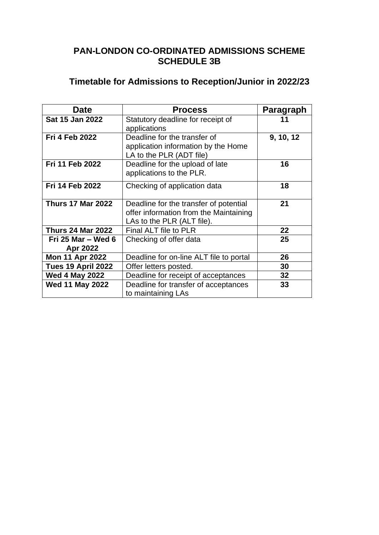# **PAN-LONDON CO-ORDINATED ADMISSIONS SCHEME SCHEDULE 3B**

# **Timetable for Admissions to Reception/Junior in 2022/23**

| <b>Date</b>               | <b>Process</b>                                             | Paragraph       |
|---------------------------|------------------------------------------------------------|-----------------|
| Sat 15 Jan 2022           | Statutory deadline for receipt of                          | 11              |
|                           | applications                                               |                 |
| <b>Fri 4 Feb 2022</b>     | Deadline for the transfer of                               | 9, 10, 12       |
|                           | application information by the Home                        |                 |
|                           | LA to the PLR (ADT file)                                   |                 |
| Fri 11 Feb 2022           | Deadline for the upload of late                            | 16              |
|                           | applications to the PLR.                                   |                 |
| <b>Fri 14 Feb 2022</b>    | Checking of application data                               | 18              |
|                           |                                                            |                 |
| <b>Thurs 17 Mar 2022</b>  | Deadline for the transfer of potential                     | 21              |
|                           | offer information from the Maintaining                     |                 |
|                           | LAs to the PLR (ALT file).                                 |                 |
| Thurs 24 Mar 2022         | Final ALT file to PLR                                      | 22              |
| Fri 25 Mar – Wed 6        | Checking of offer data                                     | 25              |
| Apr 2022                  |                                                            |                 |
| <b>Mon 11 Apr 2022</b>    | Deadline for on-line ALT file to portal                    | 26              |
| <b>Tues 19 April 2022</b> | Offer letters posted.                                      | 30              |
| <b>Wed 4 May 2022</b>     | Deadline for receipt of acceptances                        | 32 <sub>2</sub> |
| <b>Wed 11 May 2022</b>    | Deadline for transfer of acceptances<br>to maintaining LAs | 33              |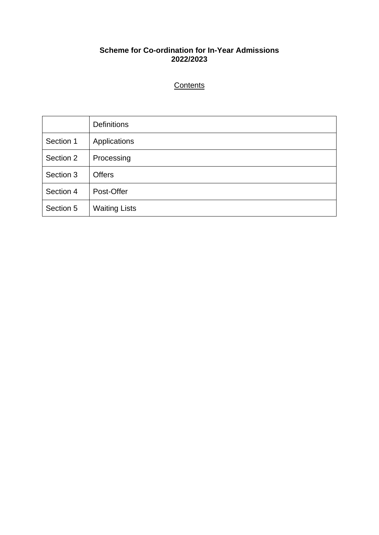# **Scheme for Co-ordination for In-Year Admissions 2022/2023**

# **Contents**

|           | <b>Definitions</b>   |
|-----------|----------------------|
| Section 1 | Applications         |
| Section 2 | Processing           |
| Section 3 | <b>Offers</b>        |
| Section 4 | Post-Offer           |
| Section 5 | <b>Waiting Lists</b> |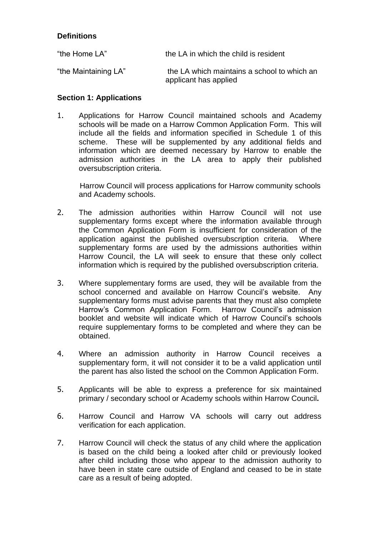# **Definitions**

| "the Home LA"        | the LA in which the child is resident                                |
|----------------------|----------------------------------------------------------------------|
| "the Maintaining LA" | the LA which maintains a school to which an<br>applicant has applied |

## **Section 1: Applications**

1. Applications for Harrow Council maintained schools and Academy schools will be made on a Harrow Common Application Form. This will include all the fields and information specified in Schedule 1 of this scheme. These will be supplemented by any additional fields and information which are deemed necessary by Harrow to enable the admission authorities in the LA area to apply their published oversubscription criteria.

Harrow Council will process applications for Harrow community schools and Academy schools.

- 2. The admission authorities within Harrow Council will not use supplementary forms except where the information available through the Common Application Form is insufficient for consideration of the application against the published oversubscription criteria. Where supplementary forms are used by the admissions authorities within Harrow Council, the LA will seek to ensure that these only collect information which is required by the published oversubscription criteria.
- 3. Where supplementary forms are used, they will be available from the school concerned and available on Harrow Council's website. Any supplementary forms must advise parents that they must also complete Harrow's Common Application Form. Harrow Council's admission booklet and website will indicate which of Harrow Council's schools require supplementary forms to be completed and where they can be obtained.
- 4. Where an admission authority in Harrow Council receives a supplementary form, it will not consider it to be a valid application until the parent has also listed the school on the Common Application Form.
- 5. Applicants will be able to express a preference for six maintained primary / secondary school or Academy schools within Harrow Council**.**
- 6. Harrow Council and Harrow VA schools will carry out address verification for each application.
- 7. Harrow Council will check the status of any child where the application is based on the child being a looked after child or previously looked after child including those who appear to the admission authority to have been in state care outside of England and ceased to be in state care as a result of being adopted.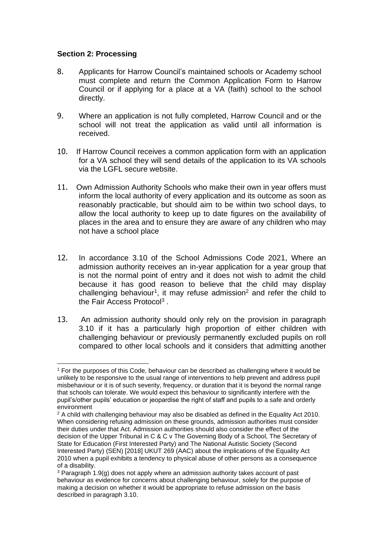## **Section 2: Processing**

- 8. Applicants for Harrow Council's maintained schools or Academy school must complete and return the Common Application Form to Harrow Council or if applying for a place at a VA (faith) school to the school directly.
- 9. Where an application is not fully completed, Harrow Council and or the school will not treat the application as valid until all information is received.
- 10. If Harrow Council receives a common application form with an application for a VA school they will send details of the application to its VA schools via the LGFL secure website.
- 11. Own Admission Authority Schools who make their own in year offers must inform the local authority of every application and its outcome as soon as reasonably practicable, but should aim to be within two school days, to allow the local authority to keep up to date figures on the availability of places in the area and to ensure they are aware of any children who may not have a school place
- 12. In accordance 3.10 of the School Admissions Code 2021, Where an admission authority receives an in-year application for a year group that is not the normal point of entry and it does not wish to admit the child because it has good reason to believe that the child may display challenging behaviour<sup>1</sup>, it may refuse admission<sup>2</sup> and refer the child to the Fair Access Protocol<sup>3</sup>.
- 13. An admission authority should only rely on the provision in paragraph 3.10 if it has a particularly high proportion of either children with challenging behaviour or previously permanently excluded pupils on roll compared to other local schools and it considers that admitting another

<sup>1</sup> For the purposes of this Code, behaviour can be described as challenging where it would be unlikely to be responsive to the usual range of interventions to help prevent and address pupil misbehaviour or it is of such severity, frequency, or duration that it is beyond the normal range that schools can tolerate. We would expect this behaviour to significantly interfere with the pupil's/other pupils' education or jeopardise the right of staff and pupils to a safe and orderly environment

 $2$  A child with challenging behaviour may also be disabled as defined in the Equality Act 2010. When considering refusing admission on these grounds, admission authorities must consider their duties under that Act. Admission authorities should also consider the effect of the decision of the Upper Tribunal in C & C v The Governing Body of a School, The Secretary of State for Education (First Interested Party) and The National Autistic Society (Second Interested Party) (SEN) [2018] UKUT 269 (AAC) about the implications of the Equality Act 2010 when a pupil exhibits a tendency to physical abuse of other persons as a consequence of a disability.

<sup>3</sup> Paragraph 1.9(g) does not apply where an admission authority takes account of past behaviour as evidence for concerns about challenging behaviour, solely for the purpose of making a decision on whether it would be appropriate to refuse admission on the basis described in paragraph 3.10.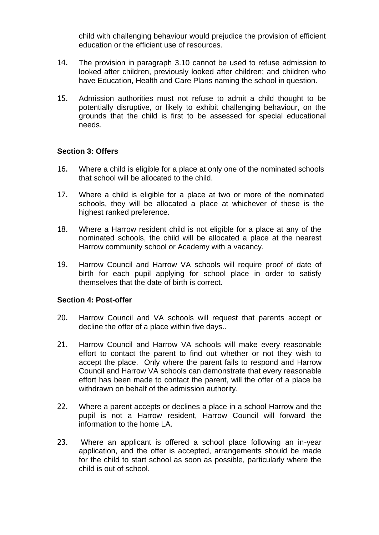child with challenging behaviour would prejudice the provision of efficient education or the efficient use of resources.

- 14. The provision in paragraph 3.10 cannot be used to refuse admission to looked after children, previously looked after children; and children who have Education, Health and Care Plans naming the school in question.
- 15. Admission authorities must not refuse to admit a child thought to be potentially disruptive, or likely to exhibit challenging behaviour, on the grounds that the child is first to be assessed for special educational needs.

## **Section 3: Offers**

- 16. Where a child is eligible for a place at only one of the nominated schools that school will be allocated to the child.
- 17. Where a child is eligible for a place at two or more of the nominated schools, they will be allocated a place at whichever of these is the highest ranked preference.
- 18. Where a Harrow resident child is not eligible for a place at any of the nominated schools, the child will be allocated a place at the nearest Harrow community school or Academy with a vacancy.
- 19. Harrow Council and Harrow VA schools will require proof of date of birth for each pupil applying for school place in order to satisfy themselves that the date of birth is correct.

#### **Section 4: Post-offer**

- 20. Harrow Council and VA schools will request that parents accept or decline the offer of a place within five days..
- 21. Harrow Council and Harrow VA schools will make every reasonable effort to contact the parent to find out whether or not they wish to accept the place. Only where the parent fails to respond and Harrow Council and Harrow VA schools can demonstrate that every reasonable effort has been made to contact the parent, will the offer of a place be withdrawn on behalf of the admission authority.
- 22. Where a parent accepts or declines a place in a school Harrow and the pupil is not a Harrow resident, Harrow Council will forward the information to the home LA.
- 23. Where an applicant is offered a school place following an in-year application, and the offer is accepted, arrangements should be made for the child to start school as soon as possible, particularly where the child is out of school.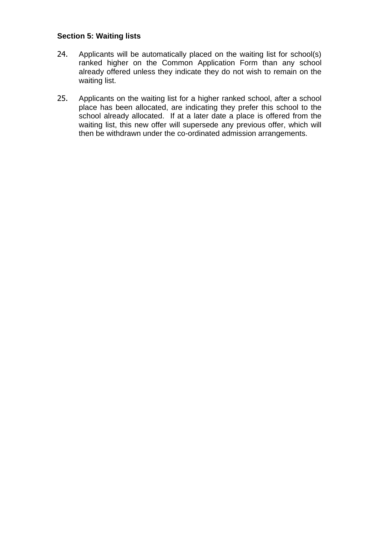## **Section 5: Waiting lists**

- 24. Applicants will be automatically placed on the waiting list for school(s) ranked higher on the Common Application Form than any school already offered unless they indicate they do not wish to remain on the waiting list.
- 25. Applicants on the waiting list for a higher ranked school, after a school place has been allocated, are indicating they prefer this school to the school already allocated. If at a later date a place is offered from the waiting list, this new offer will supersede any previous offer, which will then be withdrawn under the co-ordinated admission arrangements.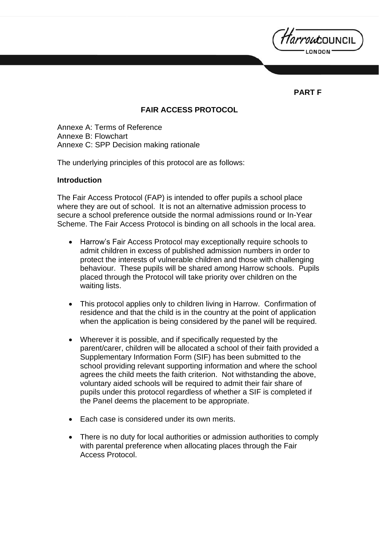*Harrou*council

# **PART F**

## **FAIR ACCESS PROTOCOL**

Annexe A: Terms of Reference Annexe B: Flowchart Annexe C: SPP Decision making rationale

The underlying principles of this protocol are as follows:

#### **Introduction**

The Fair Access Protocol (FAP) is intended to offer pupils a school place where they are out of school. It is not an alternative admission process to secure a school preference outside the normal admissions round or In-Year Scheme. The Fair Access Protocol is binding on all schools in the local area.

- Harrow's Fair Access Protocol may exceptionally require schools to admit children in excess of published admission numbers in order to protect the interests of vulnerable children and those with challenging behaviour. These pupils will be shared among Harrow schools. Pupils placed through the Protocol will take priority over children on the waiting lists.
- This protocol applies only to children living in Harrow. Confirmation of residence and that the child is in the country at the point of application when the application is being considered by the panel will be required.
- Wherever it is possible, and if specifically requested by the parent/carer, children will be allocated a school of their faith provided a Supplementary Information Form (SIF) has been submitted to the school providing relevant supporting information and where the school agrees the child meets the faith criterion. Not withstanding the above, voluntary aided schools will be required to admit their fair share of pupils under this protocol regardless of whether a SIF is completed if the Panel deems the placement to be appropriate.
- Each case is considered under its own merits.
- There is no duty for local authorities or admission authorities to comply with parental preference when allocating places through the Fair Access Protocol.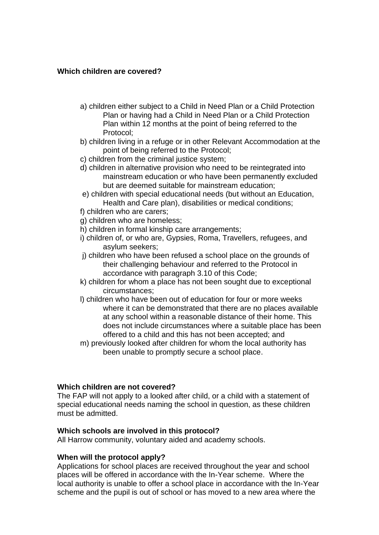#### **Which children are covered?**

- a) children either subject to a Child in Need Plan or a Child Protection Plan or having had a Child in Need Plan or a Child Protection Plan within 12 months at the point of being referred to the Protocol;
- b) children living in a refuge or in other Relevant Accommodation at the point of being referred to the Protocol;
- c) children from the criminal justice system;
- d) children in alternative provision who need to be reintegrated into mainstream education or who have been permanently excluded but are deemed suitable for mainstream education;
- e) children with special educational needs (but without an Education, Health and Care plan), disabilities or medical conditions;
- f) children who are carers;
- g) children who are homeless;
- h) children in formal kinship care arrangements;
- i) children of, or who are, Gypsies, Roma, Travellers, refugees, and asylum seekers;
- j) children who have been refused a school place on the grounds of their challenging behaviour and referred to the Protocol in accordance with paragraph 3.10 of this Code;
- k) children for whom a place has not been sought due to exceptional circumstances;
- l) children who have been out of education for four or more weeks where it can be demonstrated that there are no places available at any school within a reasonable distance of their home. This does not include circumstances where a suitable place has been offered to a child and this has not been accepted; and
- m) previously looked after children for whom the local authority has been unable to promptly secure a school place.

## **Which children are not covered?**

The FAP will not apply to a looked after child, or a child with a statement of special educational needs naming the school in question, as these children must be admitted.

#### **Which schools are involved in this protocol?**

All Harrow community, voluntary aided and academy schools.

#### **When will the protocol apply?**

Applications for school places are received throughout the year and school places will be offered in accordance with the In-Year scheme. Where the local authority is unable to offer a school place in accordance with the In-Year scheme and the pupil is out of school or has moved to a new area where the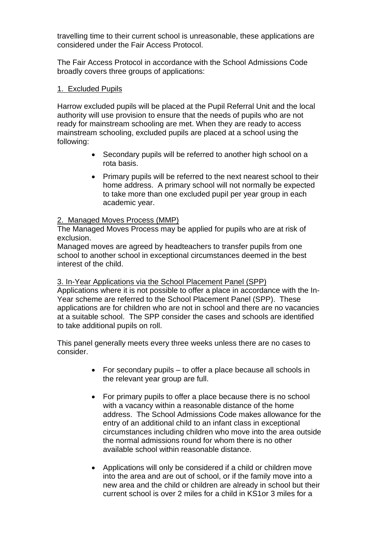travelling time to their current school is unreasonable, these applications are considered under the Fair Access Protocol.

The Fair Access Protocol in accordance with the School Admissions Code broadly covers three groups of applications:

## 1. Excluded Pupils

Harrow excluded pupils will be placed at the Pupil Referral Unit and the local authority will use provision to ensure that the needs of pupils who are not ready for mainstream schooling are met. When they are ready to access mainstream schooling, excluded pupils are placed at a school using the following:

- Secondary pupils will be referred to another high school on a rota basis.
- Primary pupils will be referred to the next nearest school to their home address. A primary school will not normally be expected to take more than one excluded pupil per year group in each academic year.

## 2. Managed Moves Process (MMP)

The Managed Moves Process may be applied for pupils who are at risk of exclusion.

Managed moves are agreed by headteachers to transfer pupils from one school to another school in exceptional circumstances deemed in the best interest of the child.

## 3. In-Year Applications via the School Placement Panel (SPP)

Applications where it is not possible to offer a place in accordance with the In-Year scheme are referred to the School Placement Panel (SPP). These applications are for children who are not in school and there are no vacancies at a suitable school. The SPP consider the cases and schools are identified to take additional pupils on roll.

This panel generally meets every three weeks unless there are no cases to consider.

- For secondary pupils to offer a place because all schools in the relevant year group are full.
- For primary pupils to offer a place because there is no school with a vacancy within a reasonable distance of the home address. The School Admissions Code makes allowance for the entry of an additional child to an infant class in exceptional circumstances including children who move into the area outside the normal admissions round for whom there is no other available school within reasonable distance.
- Applications will only be considered if a child or children move into the area and are out of school, or if the family move into a new area and the child or children are already in school but their current school is over 2 miles for a child in KS1or 3 miles for a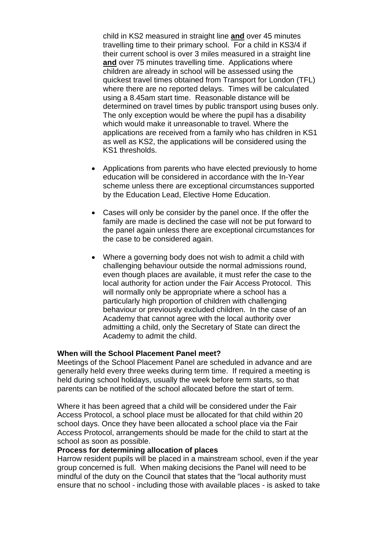child in KS2 measured in straight line **and** over 45 minutes travelling time to their primary school. For a child in KS3/4 if their current school is over 3 miles measured in a straight line **and** over 75 minutes travelling time. Applications where children are already in school will be assessed using the quickest travel times obtained from Transport for London (TFL) where there are no reported delays. Times will be calculated using a 8.45am start time. Reasonable distance will be determined on travel times by public transport using buses only. The only exception would be where the pupil has a disability which would make it unreasonable to travel. Where the applications are received from a family who has children in KS1 as well as KS2, the applications will be considered using the KS1 thresholds.

- Applications from parents who have elected previously to home education will be considered in accordance with the In-Year scheme unless there are exceptional circumstances supported by the Education Lead, Elective Home Education.
- Cases will only be consider by the panel once. If the offer the family are made is declined the case will not be put forward to the panel again unless there are exceptional circumstances for the case to be considered again.
- Where a governing body does not wish to admit a child with challenging behaviour outside the normal admissions round, even though places are available, it must refer the case to the local authority for action under the Fair Access Protocol. This will normally only be appropriate where a school has a particularly high proportion of children with challenging behaviour or previously excluded children. In the case of an Academy that cannot agree with the local authority over admitting a child, only the Secretary of State can direct the Academy to admit the child.

## **When will the School Placement Panel meet?**

Meetings of the School Placement Panel are scheduled in advance and are generally held every three weeks during term time. If required a meeting is held during school holidays, usually the week before term starts, so that parents can be notified of the school allocated before the start of term.

Where it has been agreed that a child will be considered under the Fair Access Protocol, a school place must be allocated for that child within 20 school days. Once they have been allocated a school place via the Fair Access Protocol, arrangements should be made for the child to start at the school as soon as possible.

#### **Process for determining allocation of places**

Harrow resident pupils will be placed in a mainstream school, even if the year group concerned is full. When making decisions the Panel will need to be mindful of the duty on the Council that states that the "local authority must ensure that no school - including those with available places - is asked to take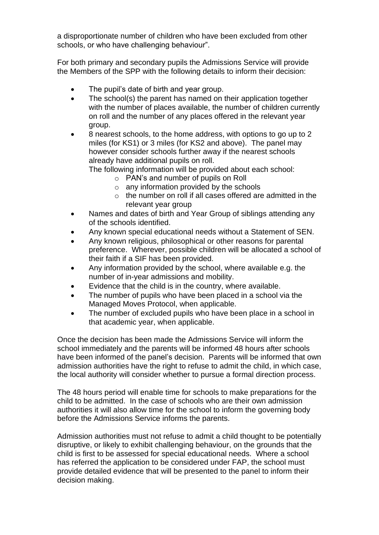a disproportionate number of children who have been excluded from other schools, or who have challenging behaviour".

For both primary and secondary pupils the Admissions Service will provide the Members of the SPP with the following details to inform their decision:

- The pupil's date of birth and year group.
- The school(s) the parent has named on their application together with the number of places available, the number of children currently on roll and the number of any places offered in the relevant year group.
- 8 nearest schools, to the home address, with options to go up to 2 miles (for KS1) or 3 miles (for KS2 and above). The panel may however consider schools further away if the nearest schools already have additional pupils on roll.

The following information will be provided about each school:

- o PAN's and number of pupils on Roll
- $\circ$  any information provided by the schools
- o the number on roll if all cases offered are admitted in the relevant year group
- Names and dates of birth and Year Group of siblings attending any of the schools identified.
- Any known special educational needs without a Statement of SEN.
- Any known religious, philosophical or other reasons for parental preference. Wherever, possible children will be allocated a school of their faith if a SIF has been provided.
- Any information provided by the school, where available e.g. the number of in-year admissions and mobility.
- Evidence that the child is in the country, where available.
- The number of pupils who have been placed in a school via the Managed Moves Protocol, when applicable.
- The number of excluded pupils who have been place in a school in that academic year, when applicable.

Once the decision has been made the Admissions Service will inform the school immediately and the parents will be informed 48 hours after schools have been informed of the panel's decision. Parents will be informed that own admission authorities have the right to refuse to admit the child, in which case, the local authority will consider whether to pursue a formal direction process.

The 48 hours period will enable time for schools to make preparations for the child to be admitted. In the case of schools who are their own admission authorities it will also allow time for the school to inform the governing body before the Admissions Service informs the parents.

Admission authorities must not refuse to admit a child thought to be potentially disruptive, or likely to exhibit challenging behaviour, on the grounds that the child is first to be assessed for special educational needs. Where a school has referred the application to be considered under FAP, the school must provide detailed evidence that will be presented to the panel to inform their decision making.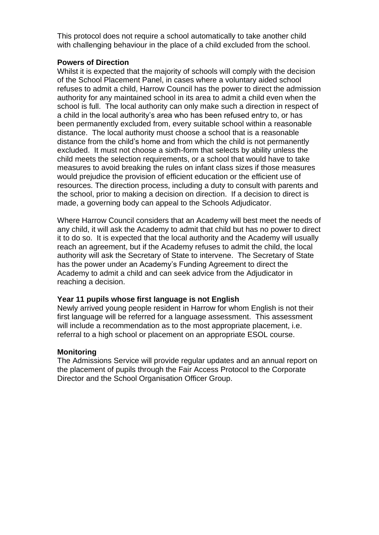This protocol does not require a school automatically to take another child with challenging behaviour in the place of a child excluded from the school.

## **Powers of Direction**

Whilst it is expected that the majority of schools will comply with the decision of the School Placement Panel, in cases where a voluntary aided school refuses to admit a child, Harrow Council has the power to direct the admission authority for any maintained school in its area to admit a child even when the school is full. The local authority can only make such a direction in respect of a child in the local authority's area who has been refused entry to, or has been permanently excluded from, every suitable school within a reasonable distance. The local authority must choose a school that is a reasonable distance from the child's home and from which the child is not permanently excluded. It must not choose a sixth-form that selects by ability unless the child meets the selection requirements, or a school that would have to take measures to avoid breaking the rules on infant class sizes if those measures would prejudice the provision of efficient education or the efficient use of resources. The direction process, including a duty to consult with parents and the school, prior to making a decision on direction. If a decision to direct is made, a governing body can appeal to the Schools Adjudicator.

Where Harrow Council considers that an Academy will best meet the needs of any child, it will ask the Academy to admit that child but has no power to direct it to do so. It is expected that the local authority and the Academy will usually reach an agreement, but if the Academy refuses to admit the child, the local authority will ask the Secretary of State to intervene. The Secretary of State has the power under an Academy's Funding Agreement to direct the Academy to admit a child and can seek advice from the Adjudicator in reaching a decision.

## **Year 11 pupils whose first language is not English**

Newly arrived young people resident in Harrow for whom English is not their first language will be referred for a language assessment. This assessment will include a recommendation as to the most appropriate placement, i.e. referral to a high school or placement on an appropriate ESOL course.

#### **Monitoring**

The Admissions Service will provide regular updates and an annual report on the placement of pupils through the Fair Access Protocol to the Corporate Director and the School Organisation Officer Group.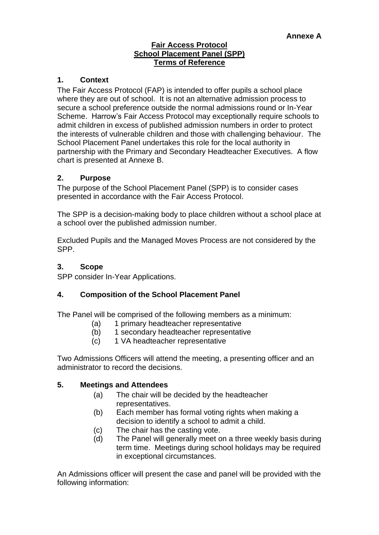#### **Fair Access Protocol School Placement Panel (SPP) Terms of Reference**

## **1. Context**

The Fair Access Protocol (FAP) is intended to offer pupils a school place where they are out of school. It is not an alternative admission process to secure a school preference outside the normal admissions round or In-Year Scheme. Harrow's Fair Access Protocol may exceptionally require schools to admit children in excess of published admission numbers in order to protect the interests of vulnerable children and those with challenging behaviour. The School Placement Panel undertakes this role for the local authority in partnership with the Primary and Secondary Headteacher Executives. A flow chart is presented at Annexe B.

## **2. Purpose**

The purpose of the School Placement Panel (SPP) is to consider cases presented in accordance with the Fair Access Protocol.

The SPP is a decision-making body to place children without a school place at a school over the published admission number.

Excluded Pupils and the Managed Moves Process are not considered by the SPP.

## **3. Scope**

SPP consider In-Year Applications.

## **4. Composition of the School Placement Panel**

The Panel will be comprised of the following members as a minimum:

- (a) 1 primary headteacher representative
- (b) 1 secondary headteacher representative
- (c) 1 VA headteacher representative

Two Admissions Officers will attend the meeting, a presenting officer and an administrator to record the decisions.

## **5. Meetings and Attendees**

- (a) The chair will be decided by the headteacher representatives.
- (b) Each member has formal voting rights when making a decision to identify a school to admit a child.
- (c) The chair has the casting vote.
- (d) The Panel will generally meet on a three weekly basis during term time. Meetings during school holidays may be required in exceptional circumstances.

An Admissions officer will present the case and panel will be provided with the following information: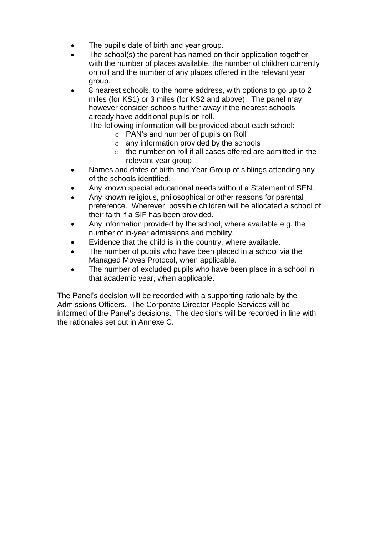- The pupil's date of birth and year group.
- The school(s) the parent has named on their application together with the number of places available, the number of children currently on roll and the number of any places offered in the relevant year group.
- 8 nearest schools, to the home address, with options to go up to 2 miles (for KS1) or 3 miles (for KS2 and above). The panel may however consider schools further away if the nearest schools already have additional pupils on roll.

The following information will be provided about each school:

- o PAN's and number of pupils on Roll
- $\circ$  any information provided by the schools
- o the number on roll if all cases offered are admitted in the relevant year group
- Names and dates of birth and Year Group of siblings attending any of the schools identified.
- Any known special educational needs without a Statement of SEN.
- Any known religious, philosophical or other reasons for parental preference. Wherever, possible children will be allocated a school of their faith if a SIF has been provided.
- Any information provided by the school, where available e.g. the number of in-year admissions and mobility.
- Evidence that the child is in the country, where available.
- The number of pupils who have been placed in a school via the Managed Moves Protocol, when applicable.
- The number of excluded pupils who have been place in a school in that academic year, when applicable.

The Panel's decision will be recorded with a supporting rationale by the Admissions Officers. The Corporate Director People Services will be informed of the Panel's decisions. The decisions will be recorded in line with the rationales set out in Annexe C.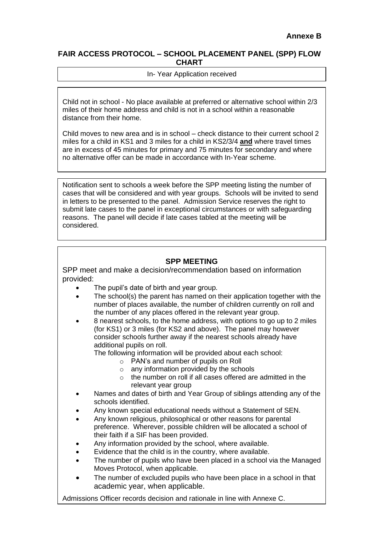#### **FAIR ACCESS PROTOCOL – SCHOOL PLACEMENT PANEL (SPP) FLOW CHART**

#### In- Year Application received

Child not in school - No place available at preferred or alternative school within 2/3 miles of their home address and child is not in a school within a reasonable distance from their home.

Child moves to new area and is in school – check distance to their current school 2 miles for a child in KS1 and 3 miles for a child in KS2/3/4 **and** where travel times are in excess of 45 minutes for primary and 75 minutes for secondary and where no alternative offer can be made in accordance with In-Year scheme.

Notification sent to schools a week before the SPP meeting listing the number of cases that will be considered and with year groups. Schools will be invited to send in letters to be presented to the panel. Admission Service reserves the right to submit late cases to the panel in exceptional circumstances or with safeguarding reasons. The panel will decide if late cases tabled at the meeting will be considered.

## **SPP MEETING**

SPP meet and make a decision/recommendation based on information provided:

- The pupil's date of birth and year group.
- The school(s) the parent has named on their application together with the number of places available, the number of children currently on roll and the number of any places offered in the relevant year group.
- 8 nearest schools, to the home address, with options to go up to 2 miles (for KS1) or 3 miles (for KS2 and above). The panel may however consider schools further away if the nearest schools already have additional pupils on roll.

The following information will be provided about each school:

- o PAN's and number of pupils on Roll
- o any information provided by the schools
- o the number on roll if all cases offered are admitted in the relevant year group
- Names and dates of birth and Year Group of siblings attending any of the schools identified.
- Any known special educational needs without a Statement of SEN.
- Any known religious, philosophical or other reasons for parental preference. Wherever, possible children will be allocated a school of their faith if a SIF has been provided.
- Any information provided by the school, where available.
- Evidence that the child is in the country, where available.
- The number of pupils who have been placed in a school via the Managed Moves Protocol, when applicable.
- The number of excluded pupils who have been place in a school in that academic year, when applicable.

Admissions Officer records decision and rationale in line with Annexe C.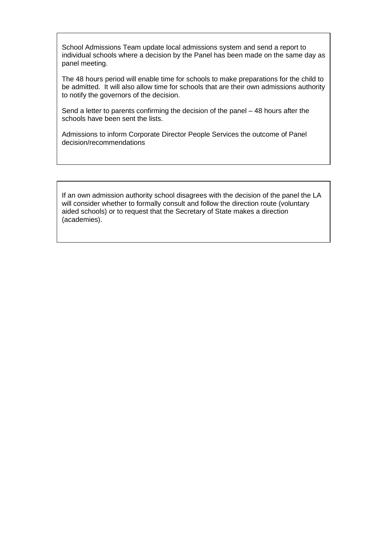School Admissions Team update local admissions system and send a report to individual schools where a decision by the Panel has been made on the same day as panel meeting.

The 48 hours period will enable time for schools to make preparations for the child to be admitted. It will also allow time for schools that are their own admissions authority to notify the governors of the decision.

Send a letter to parents confirming the decision of the panel – 48 hours after the schools have been sent the lists.

Admissions to inform Corporate Director People Services the outcome of Panel decision/recommendations

If an own admission authority school disagrees with the decision of the panel the LA will consider whether to formally consult and follow the direction route (voluntary aided schools) or to request that the Secretary of State makes a direction (academies).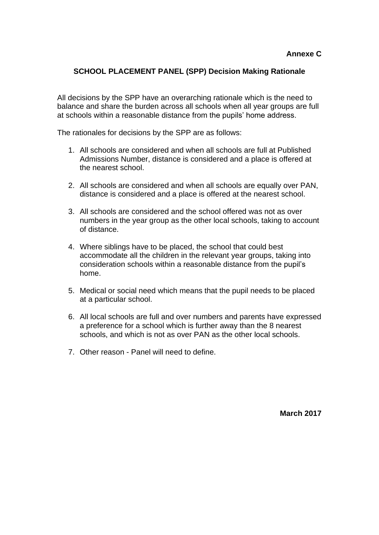## **SCHOOL PLACEMENT PANEL (SPP) Decision Making Rationale**

All decisions by the SPP have an overarching rationale which is the need to balance and share the burden across all schools when all year groups are full at schools within a reasonable distance from the pupils' home address.

The rationales for decisions by the SPP are as follows:

- 1. All schools are considered and when all schools are full at Published Admissions Number, distance is considered and a place is offered at the nearest school.
- 2. All schools are considered and when all schools are equally over PAN, distance is considered and a place is offered at the nearest school.
- 3. All schools are considered and the school offered was not as over numbers in the year group as the other local schools, taking to account of distance.
- 4. Where siblings have to be placed, the school that could best accommodate all the children in the relevant year groups, taking into consideration schools within a reasonable distance from the pupil's home.
- 5. Medical or social need which means that the pupil needs to be placed at a particular school.
- 6. All local schools are full and over numbers and parents have expressed a preference for a school which is further away than the 8 nearest schools, and which is not as over PAN as the other local schools.
- 7. Other reason Panel will need to define.

**March 2017**